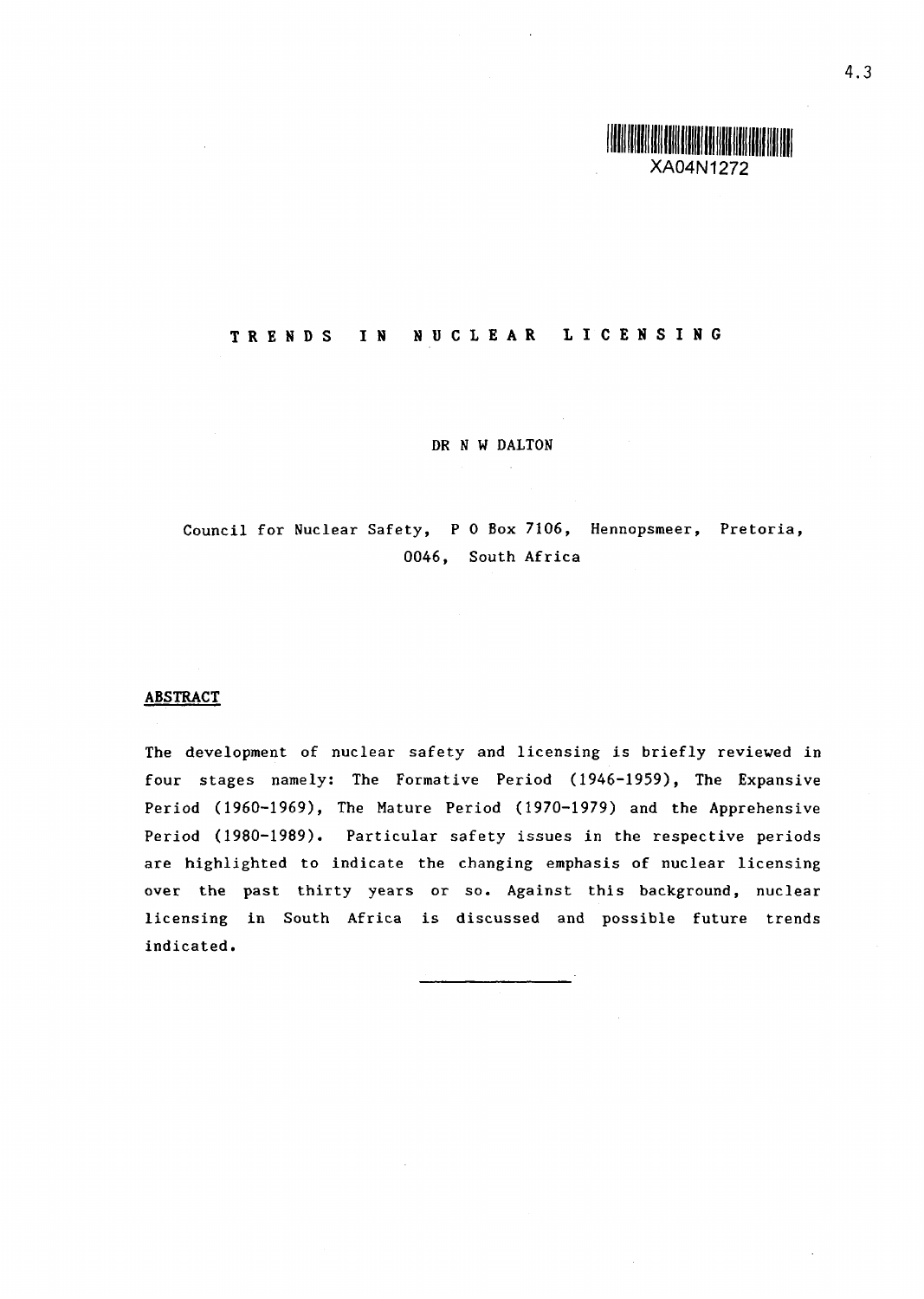

# **T R E N** D **S I N N U C** L **E A R L I C E N I N G**

DR *N W* DALTON

Council for Nuclear Safety, P 0 Box 7106, Hennopsmeer, Pretoria, 0046, South Africa

### **ABSTRACT**

The development of nuclear safety and licensing is briefly reviewed in four stages namely: The Formative Period 1946-1959), The Expansive Period (1960-1969), The Mature Period (1970-1979) and the Apprehensive Period 1980-1989). Particular safety issues in the respective periods are highlighted to indicate the changing emphasis of nuclear licensing over the past thirty years or so. Against this background, nuclear licensing in South Africa is discussed and possible future trends indicated.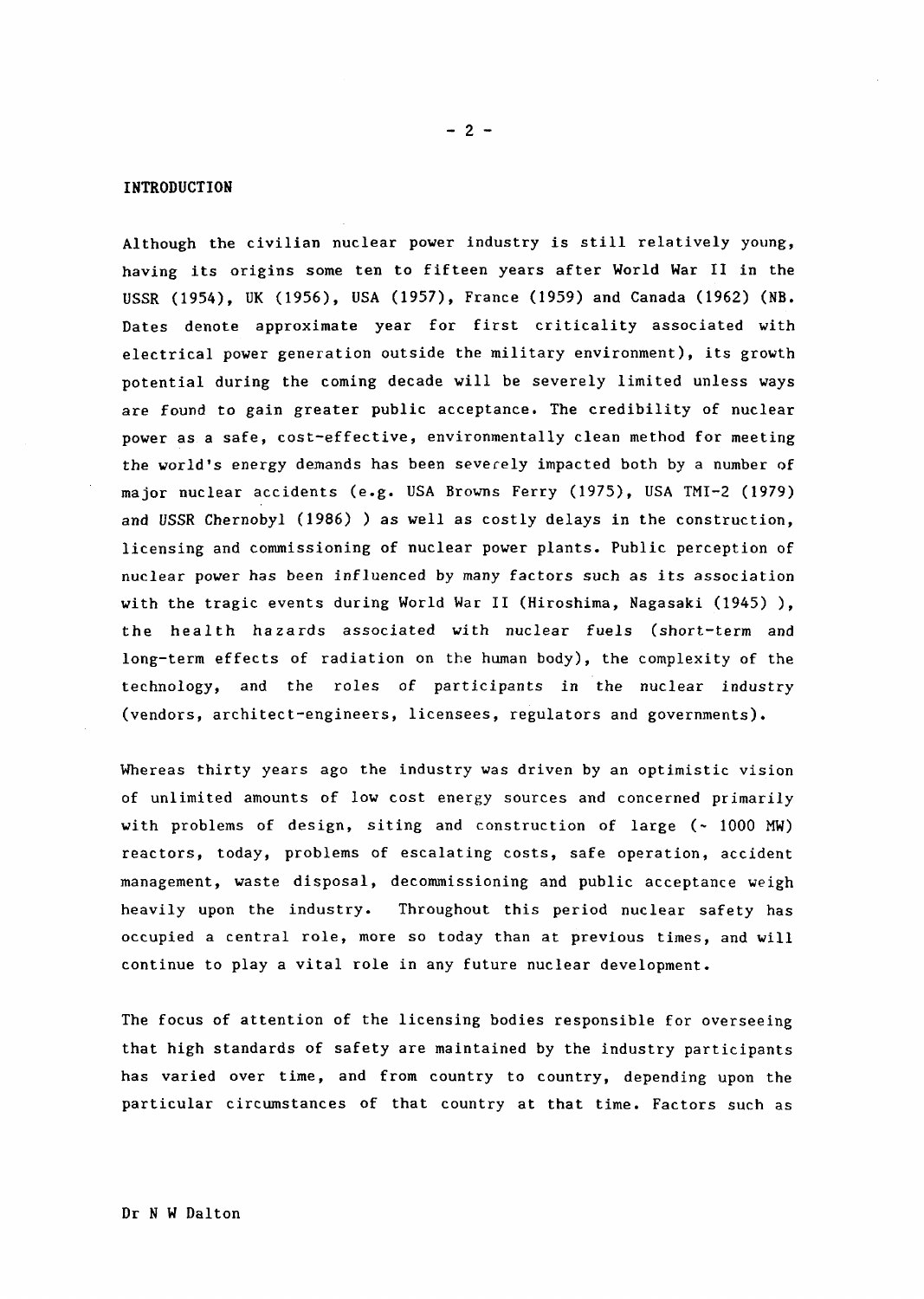#### INTRODUCTION

Although the civilian nuclear power industry is still relatively young, having its origins some ten to fifteen years after World War II in the USSR (1954), UK (1956), USA (1957), France (1959) and Canada (1962) (NB. Dates denote approximate year for first criticality associated with electrical power generation outside the military environment), its growth potential during the coming decade will be severely limited unless ways are found to gain greater public acceptance. The credibility of nuclear power as a safe, cost-effective, environmentally clean method for meeting the world's energy demands has been severely impacted both by a number of major nuclear accidents (e.g. USA Browns Ferry (1975), USA TMI-2 (1979) and USSR Chernobyl (1986) ) as well as costly delays in the construction, licensing and commissioning of nuclear power plants. Public perception of nuclear power has been influenced by many factors such as its association with the tragic events during World War II (Hiroshima, Nagasaki (1945)), the health hazards associated with nuclear fuels (short-term and long-term effects of radiation on the human body), the complexity of the technology, and the roles of participants in the nuclear industry (vendors, architect-engineers, licensees, regulators and governments).

Whereas thirty years ago the industry was driven by an optimistic vision of unlimited amounts of low cost energy sources and concerned primarily with problems of design, siting and construction of large  $(-1000 \text{ MW})$ reactors, today, problems of escalating costs, safe operation, accident management, waste disposal, decommissioning and public acceptance weigh heavily upon the industry. Throughout this period nuclear safety has occupied a central role, more so today than at previous times, and will continue to play a vital role in any future nuclear development.

The focus of attention of the licensing bodies responsible for overseeing that high standards of safety are maintained by the industry participants has varied over time, and from country to country, depending upon the particular circumstances of that country at that time. Factors such as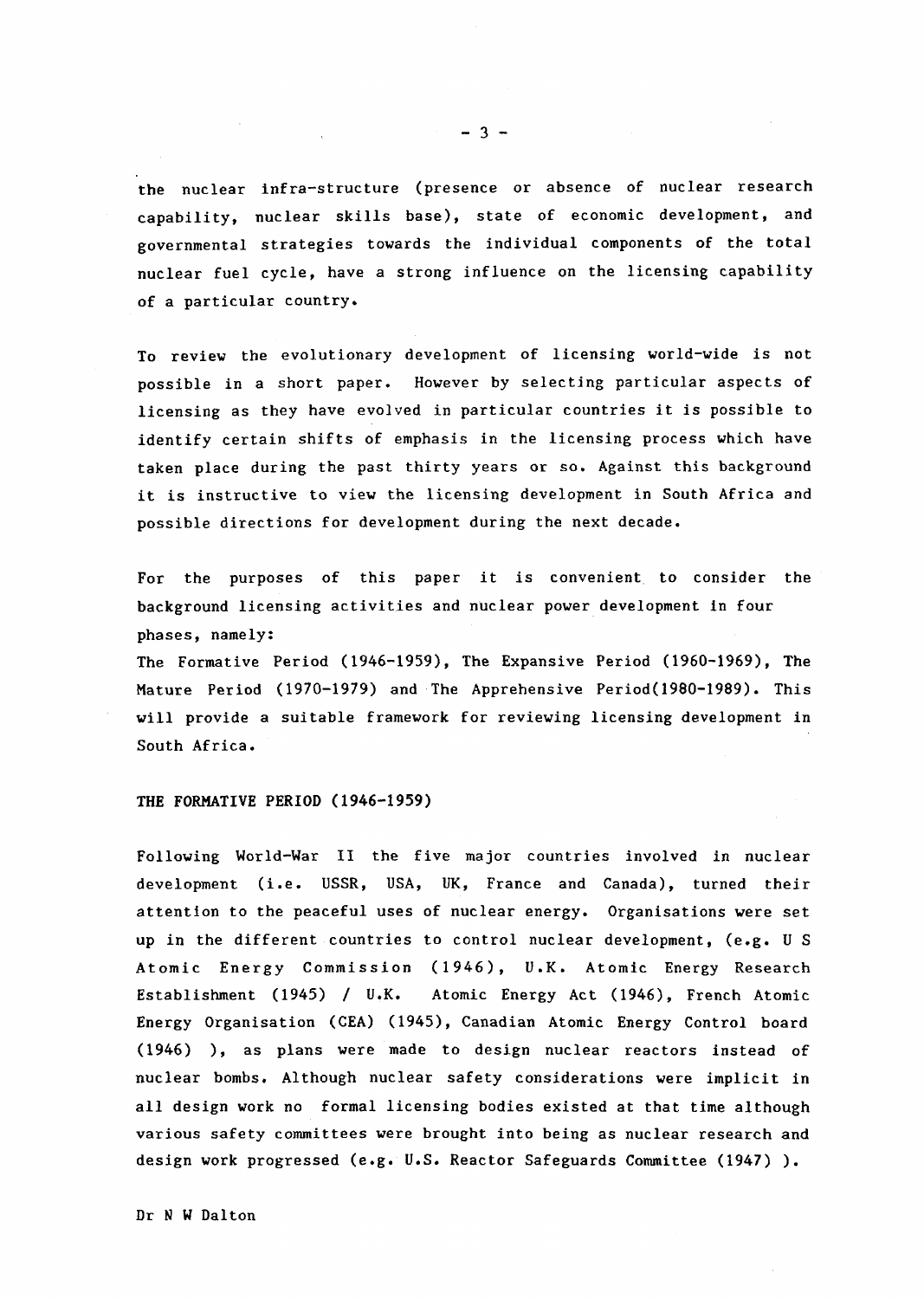the nuclear infra-structure (presence or absence of nuclear research capability, nuclear skills base), state of economic development, and governmental strategies towards the individual components of the total nuclear fuel cycle, have a strong influence on the licensing capability of a particular country.

To review the evolutionary development of licensing world-wide is not possible in a short paper. However by selecting particular aspects of licensing as they have evolved in particular countries it is possible to identify certain shifts of emphasis in the licensing process which have taken place during the past thirty years or so. Against this background it is instructive to view the licensing development in South Africa and possible directions for development during the next decade.

For the purposes of this paper it is convenient. to consider the background licensing activities and nuclear power development in four phases, namely:

The Formative Period 1946-1959), The Expansive Period 1960-1969), The Mature Period 1970-1979) and The Apprehensive Period(1980-1989). This will provide a suitable framework for reviewing licensing development in South Africa.

### THE FORMATIVE PERIOD (1946-1959)

Following World-War II the five major countries involved in nuclear development (i.e. USSR, USA, UK, France and Canada), turned their attention to the peaceful uses of nuclear energy. Organisations were set up in the different countries to control nuclear development, (e.g. U S Atomic Energy Commission (1946), V.K. Atomic Energy Research Establishment (1945) / U.K. Atomic Energy Act (1946), French Atomic Energy Organisation (CEA) 1945), Canadian Atomic Energy Control board (1946) ), as plans were made to design nuclear reactors instead of nuclear bombs. Although nuclear safety considerations were implicit in all design work no formal licensing bodies existed at that time although various safety committees were brought into being as nuclear research and design work progressed (e.g. U.S. Reactor Safeguards Committee (1947)).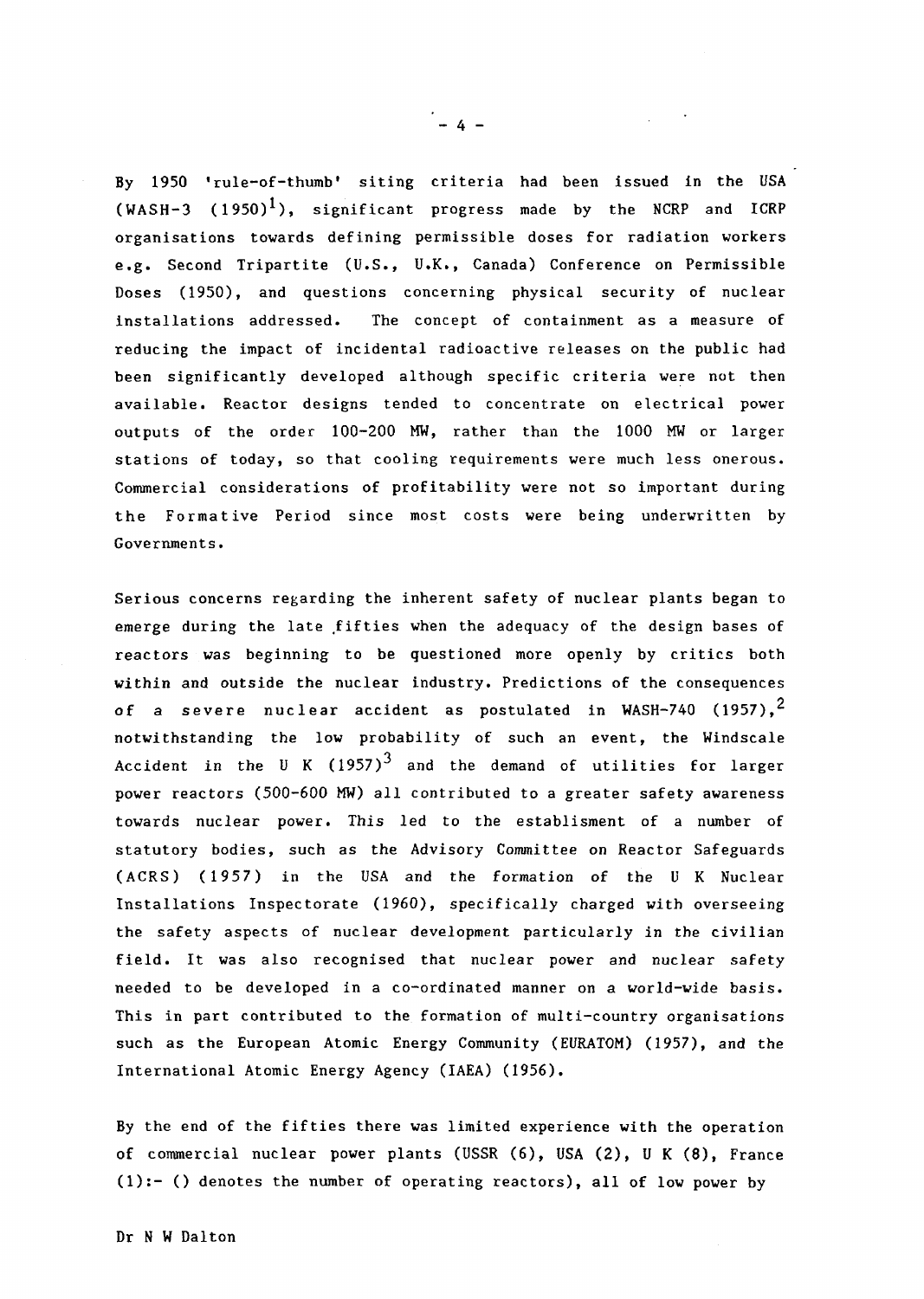By 1950 'rule-of-thumb' siting criteria had been issued in the USA  $(WASH-3 (1950)^1)$ , significant progress made by the NCRP and ICRP organisations towards defining permissible doses for radiation workers e.g. Second Tripartite (U.S., U.K., Canada) Conference on Permissible Doses 1950), and questions concerning physical security of nuclear installations addressed. The concept of containment as a measure of reducing the impact of incidental radioactive releases on the public had been significantly developed although specific criteria were not then available. Reactor designs tended to concentrate on electrical power outputs of the order 100-200 MW, rather than the 1000 KW or larger stations of today, so that cooling requirements were much less onerous. Commercial considerations of profitability were not so important during the Formative Period since most costs were being underwritten by Goverrunents.

Serious concerns regarding the inherent safety of nuclear plants began to emerge during the late fifties when the adequacy of the design bases of reactors was beginning to be questioned more openly by critics both within and outside the nuclear industry. Predictions of the consequences of a severe nuclear accident as postulated in WASH-740 (1957),<sup>2</sup> notwithstanding the low probability of such an event, the Windscale Accident in the U K  $(1957)^3$  and the demand of utilities for larger power reactors  $(500-600 \text{ MW})$  all contributed to a greater safety awareness towards nuclear power. This led to the establisment of a number of statutory bodies, such as the Advisory Committee on Reactor Safeguards (ACRS) (1957) in the USA and the formation of the U K Nuclear Installations Inspectorate 1960), specifically charged with overseeing the safety aspects of nuclear development particularly in the civilian field. It was also recognised that nuclear power and nuclear safety needed to be developed in a co-ordinated manner on a world-wide basis. This in part contributed to the formation of multi-country organisations such as the European Atomic Energy Community (EURATOM) (1957), and the International Atomic Energy Agency (IAEA) (1956).

By the end of the fifties there was limited experience with the operation of commercial nuclear power plants (USSR (6), USA (2), U K (8), France  $(1):-$  () denotes the number of operating reactors), all of low power by

 $\mathcal{L}_{\text{max}} \rightarrow 0$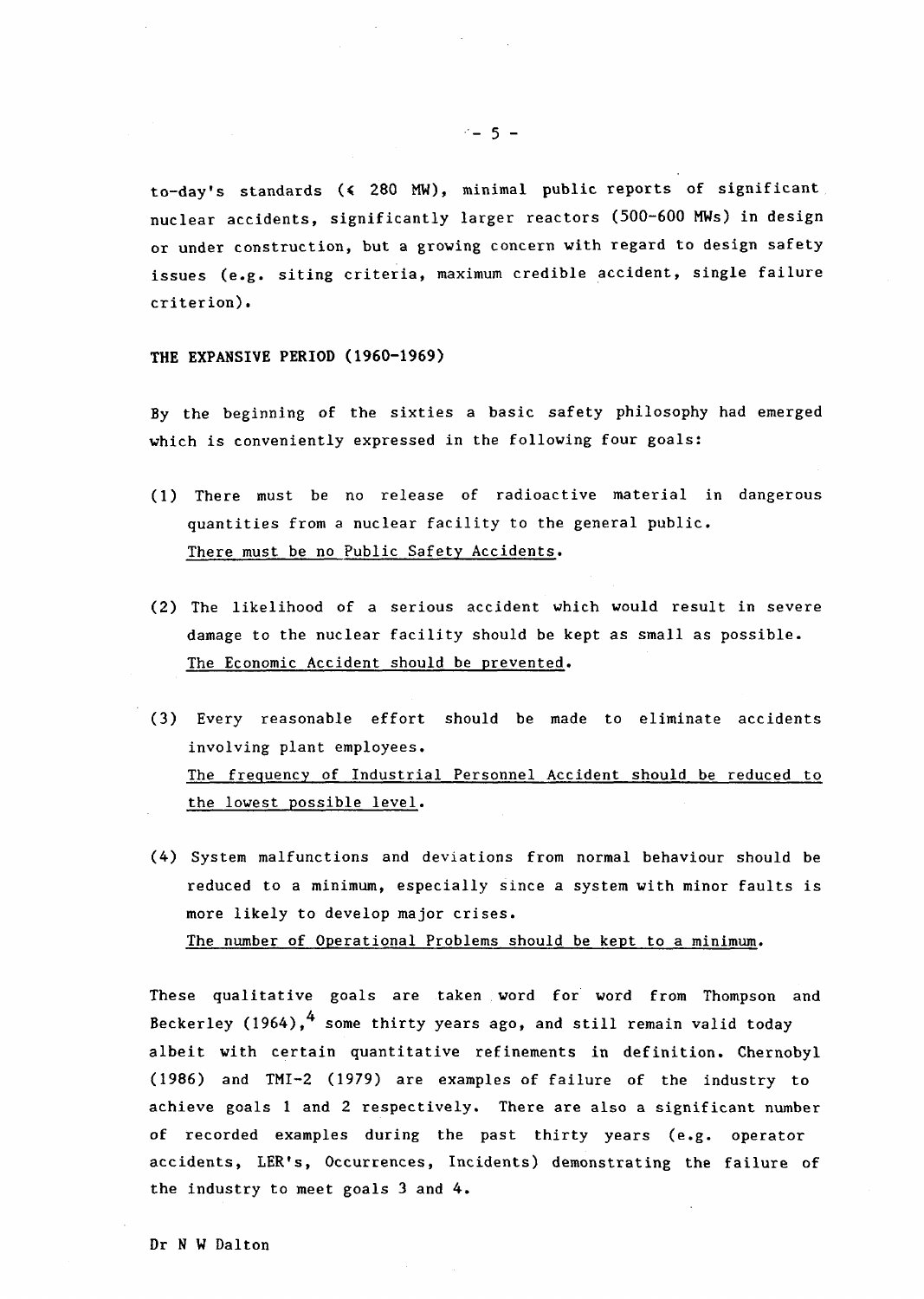to-day's standards **(4** 280 MW), minimal public reports of significant nuclear accidents, significantly larger reactors (500-600 MWs) in design or under construction, but a growing concern with regard to design safety issues (e.g. siting criteria, maximum credible accident, single failure criterion).

### **THE EXPANSIVE** PERIOD **1960-1969)**

By the beginning of the sixties a basic safety philosophy had emerged which is conveniently expressed in the following four goals:

- (1) There must be no release of radioactive material in dangerous quantities from a nuclear facility to the general public. There must be no Public Safety Accidents.
- (2) The likelihood of a serious accident which would result in severe damage to the nuclear facility should be kept as small as possible. The Economic Accident should be prevented.
- (3) Every reasonable effort should be made to eliminate accidents involving plant employees. The frequency of Industrial Personnel Accident should be reduced to the lowest possible level.
- (4) System malfunctions and deviations from normal behaviour should be reduced to a minimum, especially since a system with minor faults is more likely to develop major crises. The number of Operational Problems should be kept to a minimum.

These qualitative goals are taken word for word from Thompson and Beckerley (1964),<sup>4</sup> some thirty years ago, and still remain valid today albeit with certain quantitative refinements in definition. Chernobyl (1986) and TMI-2 1979) are examples of failure of the industry to achieve goals 1 and 2 respectively. There are also a significant number of recorded examples during the past thirty years (e.g. operator accidents, LER's, Occurrences, Incidents) demonstrating the failure of the industry to meet goals 3 and 4.

 $-5 -$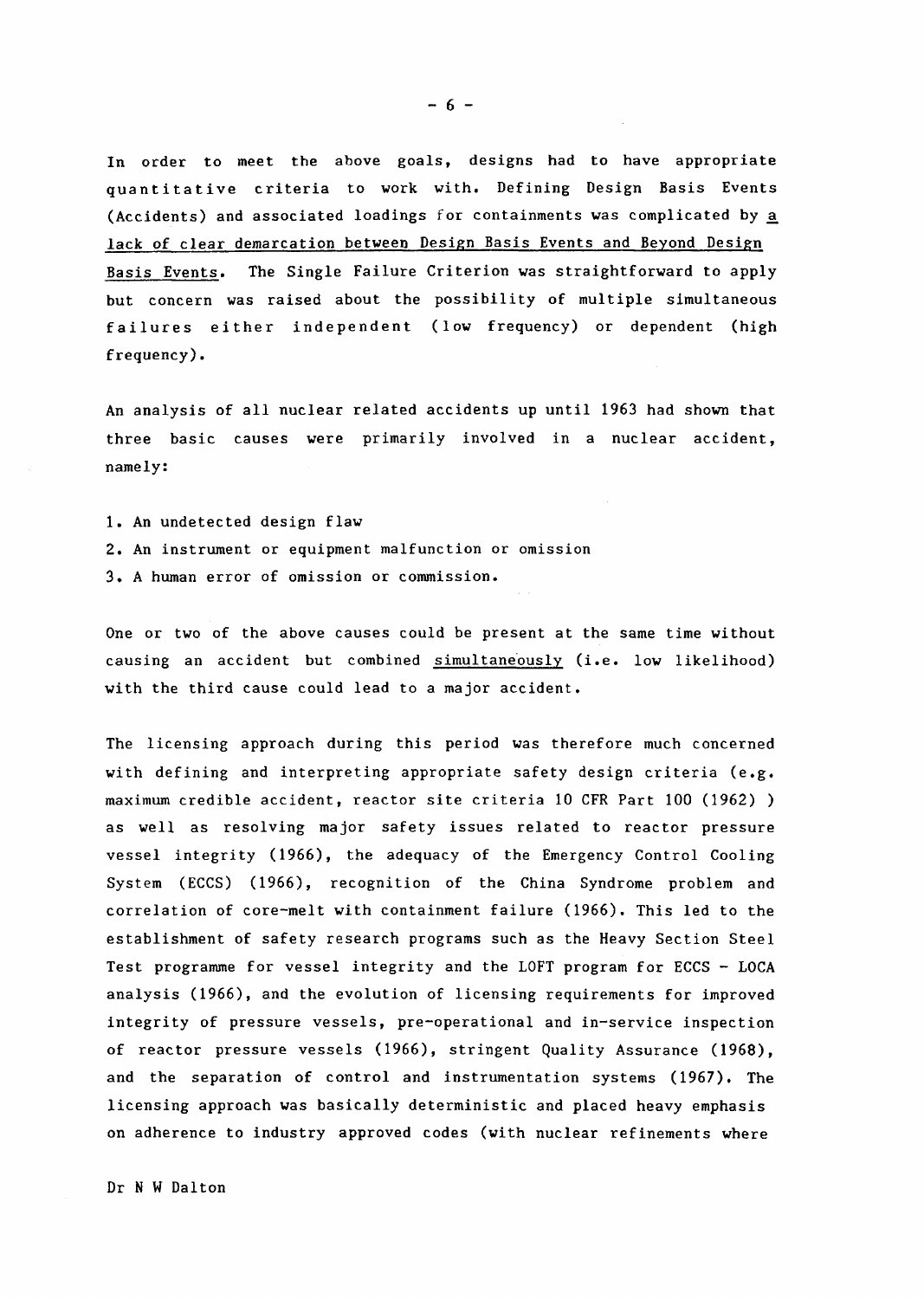In order to meet the above goals, designs had to have appropriate quantitative criteria to work with. Defining Design Basis Events (Accidents) and associated loadings for containments was complicated by a lack of clear demarcation between Design Basis Events and Beyond Design Basis Events. The Single Failure Criterion was straightforward to apply but concern was raised about the possibility of multiple simultaneous failures either independent (low frequency) or dependent (high frequency).

An analysis of all nuclear related accidents up until 1963 had shown that three basic causes were primarily involved in a nuclear accident, namely:

1. An undetected design flaw 2. An instrument or equipment malfunction or omission 3 A human error of omission or commission.

One or two of the above causes could be present at the same time without causing an accident but combined simultaneously (i.e. low likelihood) with the third cause could lead to a major accident.

The licensing approach during this period was therefore much concerned with defining and interpreting appropriate safety design criteria (e.g. maximum credible accident, reactor site criteria 10 CFR Part 100 (1962) ) as well as resolving major safety issues related to reactor pressure vessel integrity 1966), the adequacy of the Emergency Control Cooling System (ECCS) 1966), recognition of the China Syndrome problem and correlation of core-melt with containment failure 1966). This led to the establishment of safety research programs such as the Heavy Section Steel Test programme for vessel integrity and the LOFT program for ECCS - LOCA analysis 1966), and the evolution of licensing requirements for improved integrity of pressure vessels, pre-operational and in-service inspection of reactor pressure vessels (1966), stringent Quality Assurance (1968), and the separation of control and instrumentation systems (1967). The licensing approach was basically deterministic and placed heavy emphasis on adherence to industry approved codes (with nuclear refinements where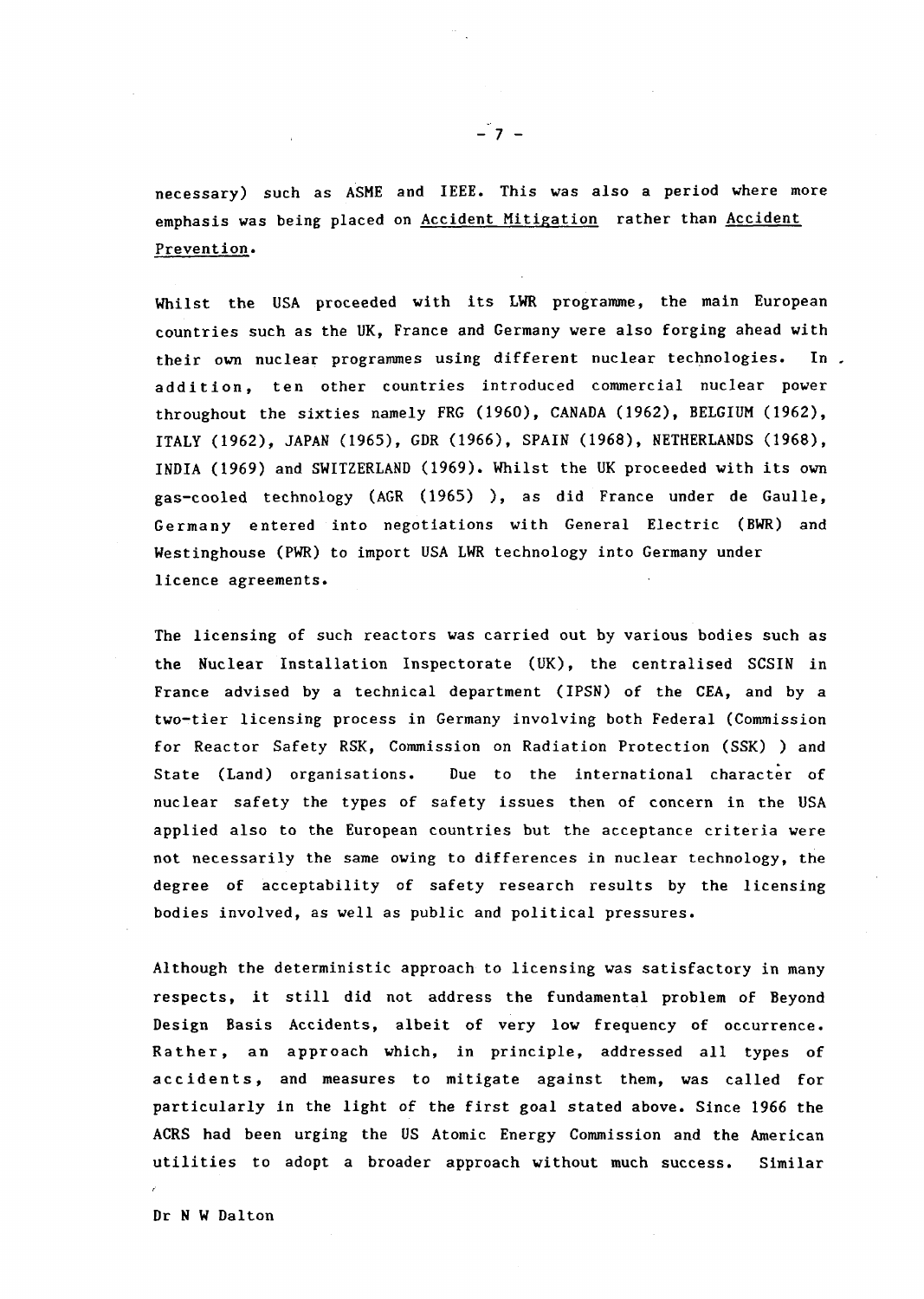necessary) such as ASME and IEEE. This was also a period where more emphasis was being placed on Accident Mitigation rather than Accident Prevention.

Whilst the USA proceeded with its WR programme, the main European countries such as the UK, France and Germany were also forging ahead with their own nuclear programmes using different nuclear technologies. In. addition, ten other countries introduced commercial nuclear power throughout the sixties namely FRG (1960), CANADA (1962), BELGIUM (1962), ITALY (1962), JAPAN (1965), GDR (1966), SPAIN (1968), NETHERLANDS (1968), INDIA (1969) and SWITZERLAND (1969). Whilst the UK proceeded with its own gas-cooled technology (AGR 1965) ), as did France under de Gaulle, Germany entered into negotiations with General Electric (BWR) and Westinghouse (PWR) to import USA LWR technology into Germany under licence agreements.

The licensing of such reactors was carried out by various bodies such as the Nuclear Installation Inspectorate (UK), the centralised SCSIN in France advised by a technical department (IPSN) of the CEA, and by a two-tier licensing process in Germany involving both Federal (Commission for Reactor Safety RSK, Commission on Radiation Protection (SSK) ) and State (Land) organisations. Due to the international character of nuclear safety the types of safety issues then of concern in the USA applied also to the European countries but the acceptance criteria were not necessarily the same owing to differences in nuclear technology, the degree of acceptability of safety research results by the licensing bodies involved, as well as public and political pressures.

Although the deterministic approach to licensing was satisfactory in many respects, it still did not address the fundamental problem of Beyond Design Basis Accidents, albeit of very low frequency of occurrence. Rather, an approach which, in principle, addressed all types of accidents, and measures to mitigate against them, was called for particularly in the light of the first goal stated above. Since 1966 the ACRS had been urging the US Atomic Energy Commission and the American utilities to adopt a broader approach without much success. Similar

Dr N W Dalton

I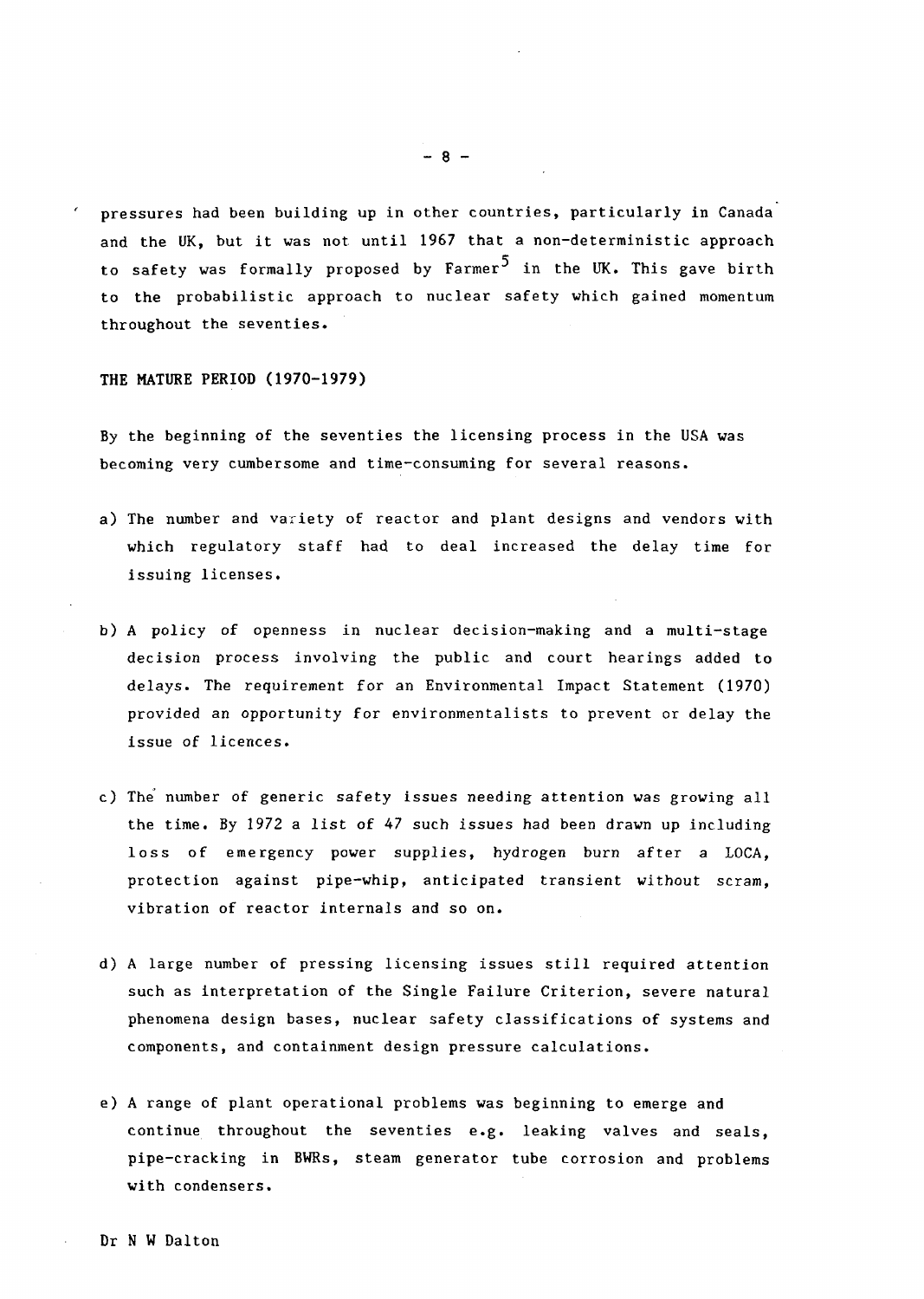pressures had been building up in other countries, particularly in Canada and the UK, but it was not until 1967 that a non-deterministic approach to safety was formally proposed by Farmer<sup>5</sup> in the UK. This gave birth to the probabilistic approach to nuclear safety which gained momentum throughout the seventies.

THE MATURE PERIOD **1970-1979)**

By the beginning of the seventies the licensing process in the USA was becoming very cumbersome and time-consuming for several reasons.

- a) The number and variety of reactor and plant designs and vendors with which regulatory staff had to deal increased the delay time for issuing licenses.
- b A policy of openness in nuclear decision-making and a multi-stage decision process involving the public and court hearings added to delays. The requirement for an Environmental Impact Statement 1970) provided an opportunity for environmentalists to prevent or delay the issue of licences.
- c) The number of generic safety issues needing attention was growing all the time. By 1972 a list of 47 such issues had been drawn up including loss of emergency power supplies, hydrogen burn after a LOCA, protection against pipe-whip, anticipated transient without scram, vibration of reactor internals and so on.
- d) A large number of pressing licensing issues still required attention such as interpretation of the Single Failure Criterion, severe natural phenomena design bases, nuclear safety classifications of systems and components, and containment design pressure calculations.
- e) A range of plant operational problems was beginning to emerge and continue throughout the seventies e.g. leaking valves and seals, pipe-cracking in BWRs, steam generator tube corrosion and problems with condensers.

 $-8 -$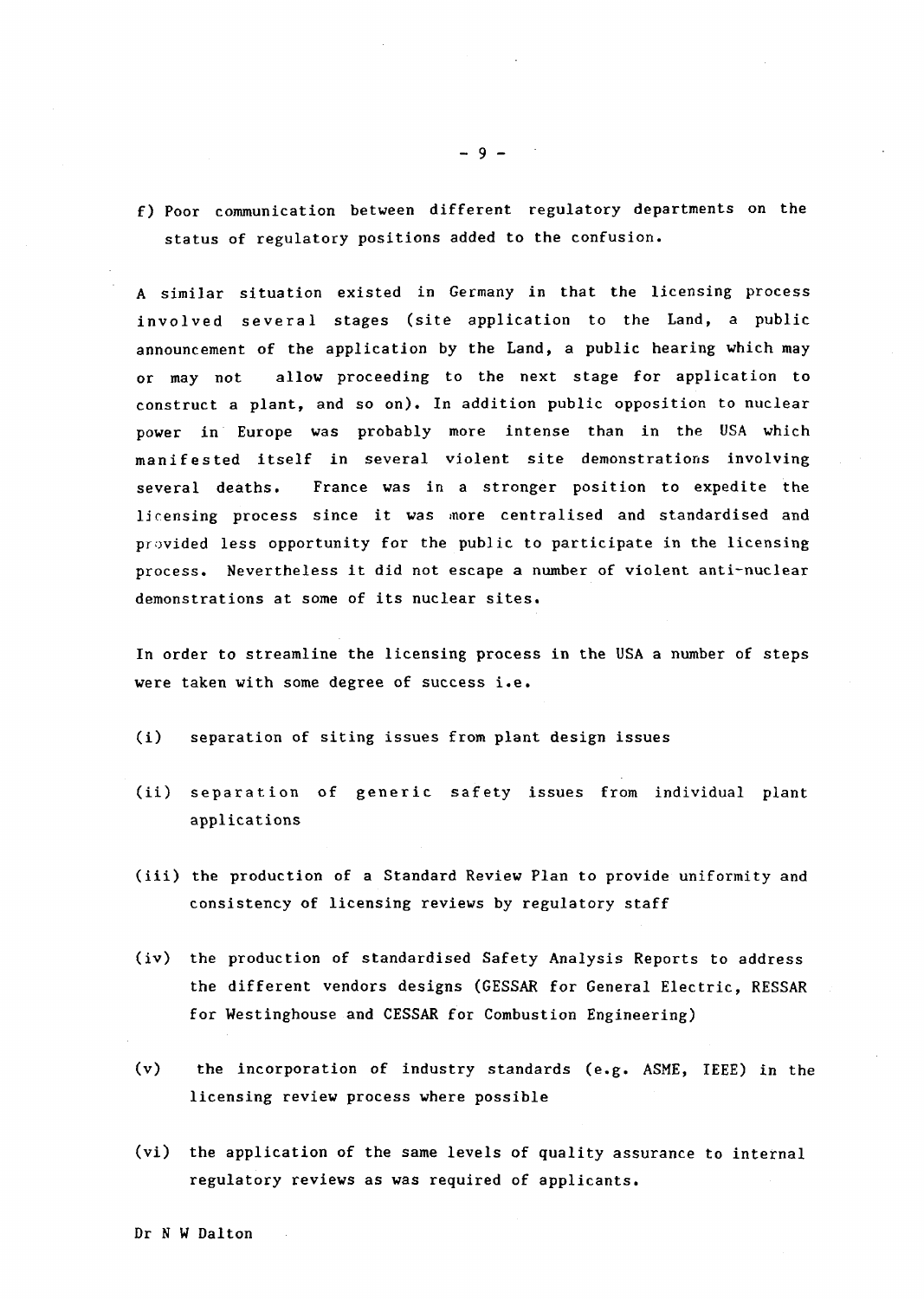f) Poor communication between different regulatory departments on the status of regulatory positions added to the confusion.

A similar situation existed in Germany in that the licensing process involved several stages (site application to the Land, a public announcement of the application by the Land, a public hearing which may or may not allow proceeding to the next stage for application to construct a plant, and so on). In addition public opposition to nuclear power in Europe was probably more intense than in the USA which manifested itself in several violent site demonstrations involving several deaths. France was in a stronger position to expedite the licensing process since it was more centralised and standardised and provided less opportunity for the public to participate in the licensing process. Nevertheless it did not escape a number of violent anti-nuclear demonstrations at some of its nuclear sites.

In order to streamline the licensing process in the USA a number of steps were taken with some degree of success i.e.

- (i) separation of siting issues from plant design issues
- (ii) separation of generic safety issues from individual plant applications
- (iii) the production of a Standard Review Plan to provide uniformity and consistency of licensing reviews by regulatory staff
- (iv) the production of standardised Safety Analysis Reports to address the different vendors designs (GESSAR for General Electric, RESSAR for Westinghouse and CESSAR for Combustion Engineering)
- (v) the incorporation of industry standards (e.g. ASME, IEEE) in the licensing review process where possible
- (vi) the application of the same levels of quality assurance to internal regulatory reviews as was required of applicants.

 $-9 -$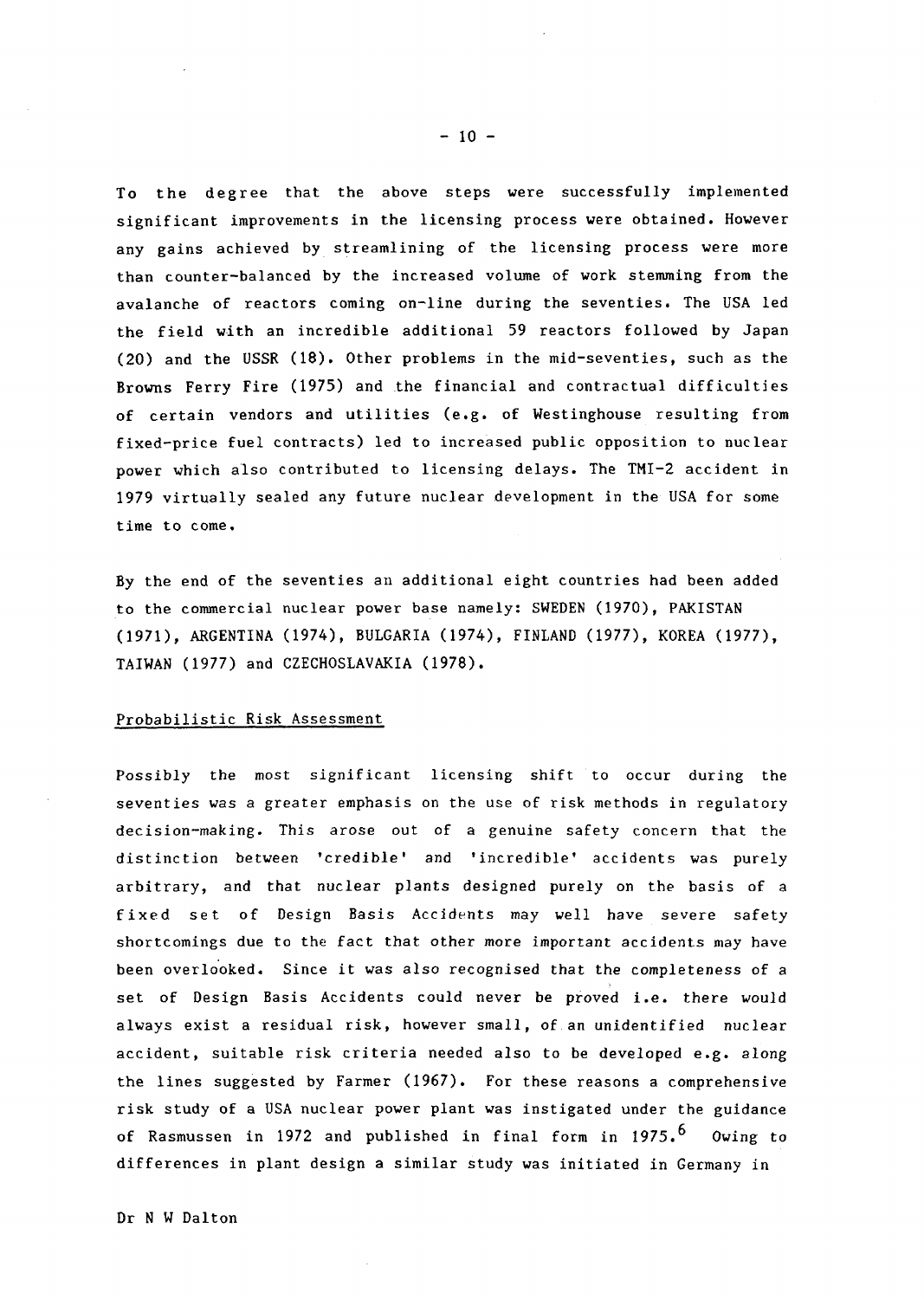To the degree that the above steps were successfully implemented significant improvements in the licensing process were obtained. However any gains achieved by streamlining of the licensing process were more than counter-balanced by the increased volume of work stemming from the avalanche of reactors coming on-line during the seventies. The USA led the field with an incredible additional 59 reactors followed by Japan (20) and the USSR (18). Other problems in the mid-seventies, such as the Browns Ferry Fire 1975) and the financial and contractual difficulties of certain vendors and utilities (e.g. of Westinghouse resulting from fixed-price fuel contracts) led to increased public opposition to nuclear power which also contributed to licensing delays. The TMI-2 accident in 1979 virtually sealed any future nuclear development in the USA for some time to come.

By the end of the seventies an additional eight countries had been added to the commercial nuclear power base namely: SWEDEN 1970), PAKISTAN (1971), ARGENTINA (1974), BULGARIA (1974), FINLAND (1977), KOREA (1977), TAIWAN (1977) and CZECHOSLAVAKIA (1978).

#### Probabilistic Risk Assessment

Possibly the most significant licensing shift to occur during the seventies Was a greater emphasis on the use of risk methods in regulatory decision-making. This arose out of a genuine safety concern that the distinction between 'credible' and 'incredible' accidents was purely arbitrary, and that nuclear plants designed purely on the basis of a f ixed set of Design Basis Accidents may well have severe safety shortcomings due to the fact that other more important accidents **ay** have been overlooked. Since it was also recognised that the completeness of a set of Design Basis Accidents could never be proved i.e. there would always exist a residual risk, however small, of.an unidentified nuclear accident, suitable risk criteria needed also to be developed e.g. along the lines suggested by Farmer (1967). For these reasons a comprehensive risk study of a USA nuclear power plant was instigated under the guidance of Rasmussen in 1972 and published in final form in 1975.<sup>6</sup> Owing to differences in plant design a similar study was initiated in Germany in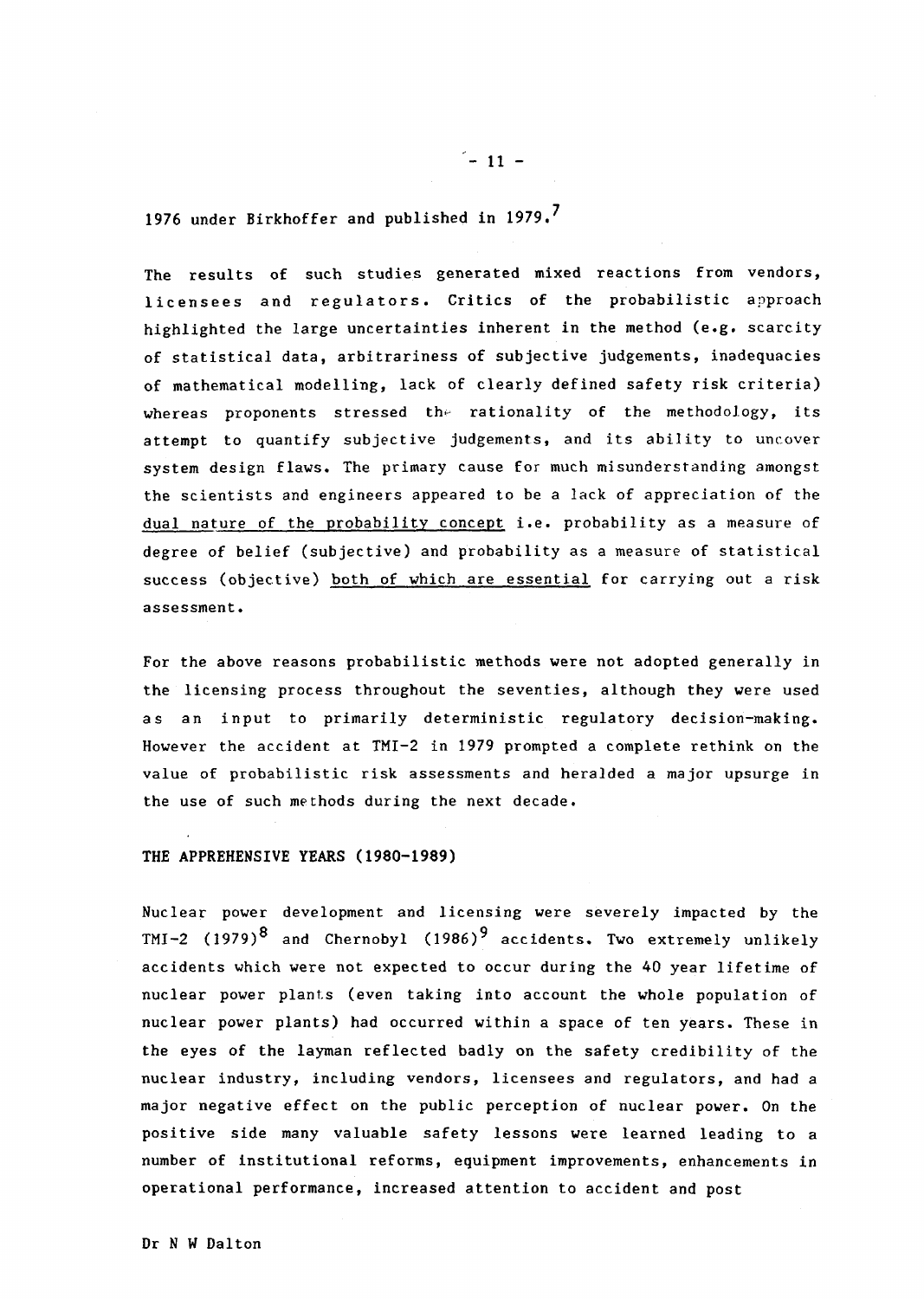1976 under Birkhoffer and published in 1979.7

The results of such studies generated mixed reactions from vendors, licensees and regulators. Critics of the probabilistic approach highlighted the large uncertainties inherent in the method (e.g. scarcity of statistical data, arbitrariness of subjective judgements, inadequacies of mathematical modelling, lack of clearly defined safety risk criteria) whereas proponents stressed the rationality of the methodology, its attempt to quantify subjective judgements, and its ability to uncover system design flaws. The primary cause for much misunderstanding amongst the scientists and engineers appeared to be a lack of appreciation of the dual nature of the probability concept i.e. probability as a measure of degree of belief (subjective) and probability as a measure of statistical success (objective) both of which are essential for carrying out a risk assessment.

For the above reasons probabilistic methods were not adopted generally in the licensing process throughout the seventies, although they were used as an input to primarily deterministic regulatory decision-making. However the accident at TMI-2 in 1979 prompted a complete rethink on the value of probabilistic risk assessments and heralded a major upsurge in the use of such methods during the next decade.

## THE APPREHENSIVE YEARS (1980-1989)

Nuclear power development and licensing were severely impacted by the TMI-2 (1979)<sup>8</sup> and Chernobyl (1986)<sup>9</sup> accidents. Two extremely unlikely accidents which were not expected to occur during the 40 year lifetime of nuclear power plants (even taking into account the whole population of nuclear power plants) had occurred within a space of ten yars. These in the eyes of the layman reflected badly on the safety credibility of the nuclear industry, including vendors, licensees and regulators, and had a major negative effect on the public perception of nuclear power. On the positive side many valuable safety lessons were learned leading to a number of institutional reforms, equipment improvements, enhancements in operational performance, increased attention to accident and post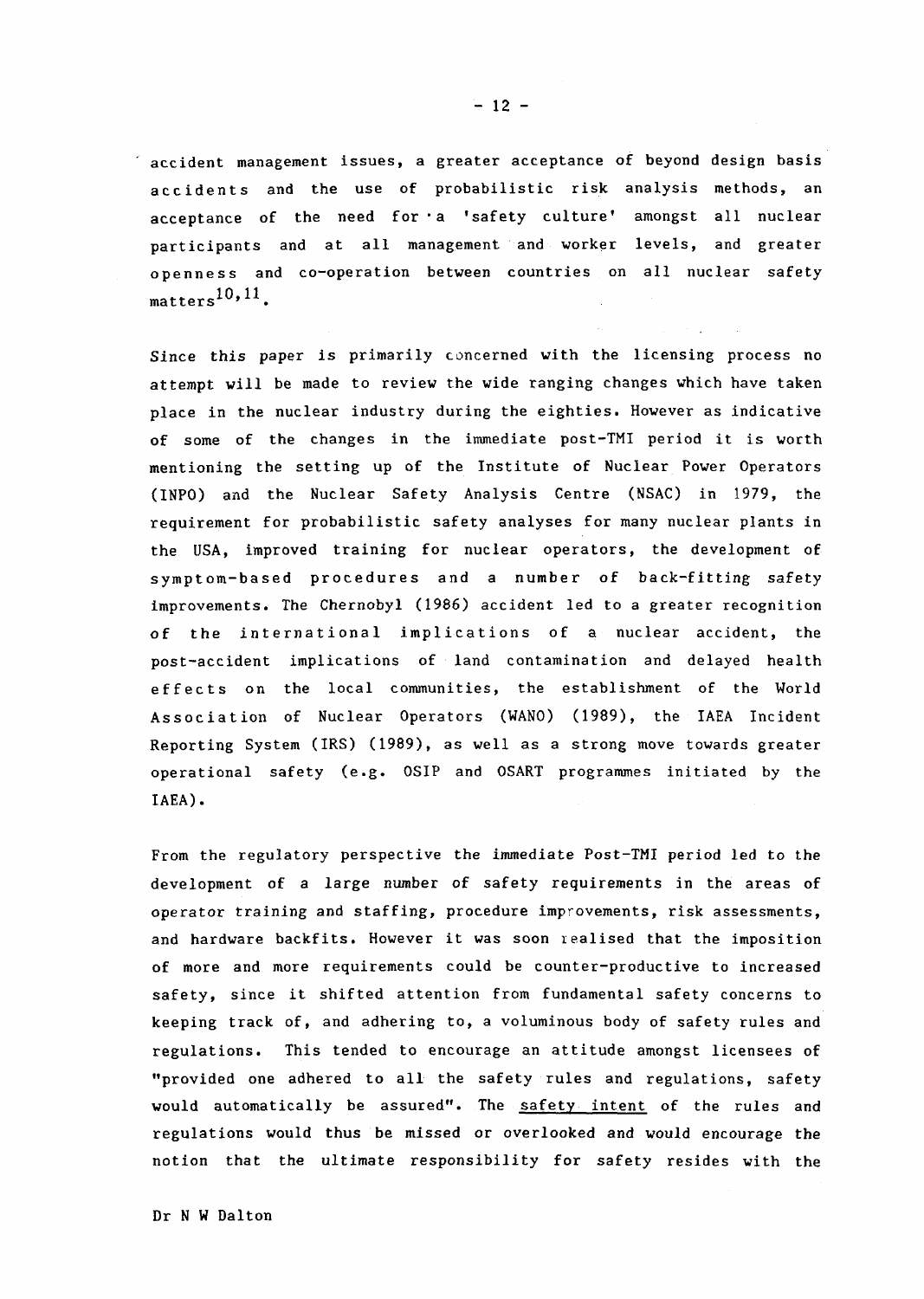accident management issues, a greater acceptance of beyond design basis accidents and the use of probabilistic risk analysis methods, an acceptance of the need for a 'safety culture' amongst all nuclear participants and at all management and worker levels, and greater openness and co-operation between countries on all nuclear safety  $text{matters}^{10,11}$ .

Since this paper is primarily concerned with the licensing process no attempt will be made to review the wide ranging changes which have taken place in the nuclear industry during the eighties. However as indicative of some of the changes in the immediate post-TMI period it is worth mentioning the setting up of the Institute of Nuclear Power Operators (INPO) and the Nuclear Safety Analysis Centre (NSAC) in 1979, the requirement for probabilistic safety analyses for many nuclear plants in the USA, improved training for nuclear operators, the development of symptom-based procedures and a number of back-fitting safety improvements. The Chernobyl 1986) accident led to a greater recognition of the international implications of a nuclear accident, the post-accident implications of land contamination and delayed health effects on the local communities, the establishment of the World Association of Nuclear Operators (WANO) (1989), the IAEA Incident Reporting System (IRS) (1989), as well as a strong move towards greater operational safety (e.g. OSIP and OSART programmes initiated by the IAEA).

From the regulatory perspective the immediate Post-TMI period led to the development of a large number of safety requirements in the areas of operator training and staffing, procedure improvements, risk assessments, and hardware backfits. However it was soon iealised that the imposition of more and more requirements could be counter-productive to increased safety, since it shifted attention from fundamental safety concerns to keeping track of, and adhering to, a voluminous body of safety rules and regulations. This tended to encourage an attitude amongst licensees of provided one adhered to all the safety rules and regulations, safety would automatically be assured". The safety intent of the rules and regulations would thus be missed or overlooked and would encourage the notion that the ultimate responsibility for safety resides with the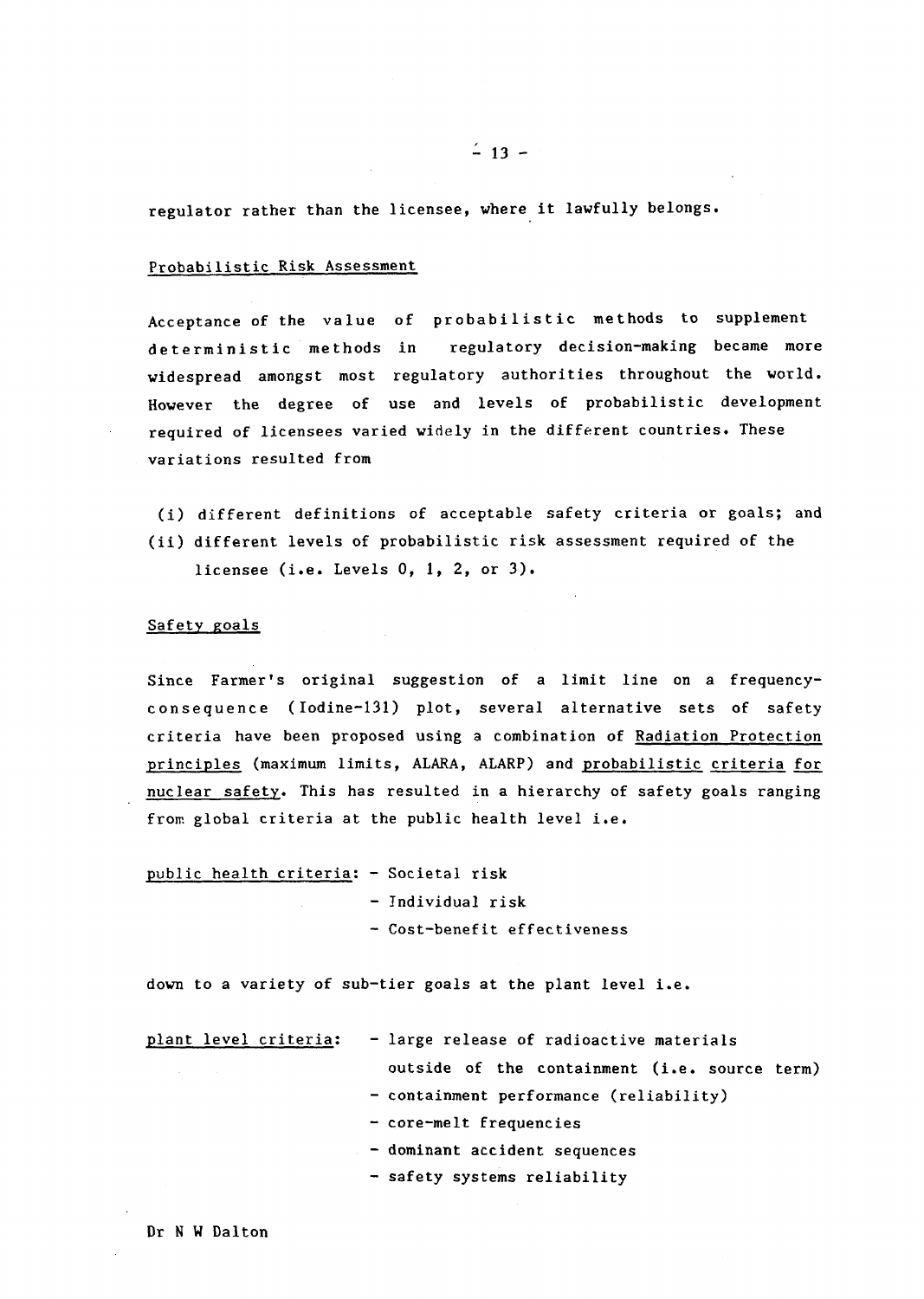regulator rather than the licensee, where it lawfully belongs.

### Probabilistic Risk Assessment

Acceptance of the value of probabilistic methods to supplement deterministic methods in regulatory decision-making became more widespread amongst most regulatory authorities throughout the world. However the degree of use and levels of probabilistic development required of licensees varied widely in the different countries. These variations resulted from

(i) different definitions of acceptable safety criteria or goals; and (ii) different levels of probabilistic risk assessment required of the

licensee (i.e. Levels  $0, 1, 2,$  or  $3$ ).

### Safety goals

Since Farmer's original suggestion of a limit line on a frequencyconsequence (Iodine-131) plot, several alternative sets of safety criteria have been proposed using a combination of Radiation Protection principles (maximum limits, ALARA, ALARP) and probabilistic criteria for nuclear safety. This has resulted in a hierarchy of safety goals ranging from global criteria at the public health level i.e.

| public health criteria: - Societal risk |                              |
|-----------------------------------------|------------------------------|
|                                         | - Individual risk            |
|                                         | - Cost-benefit effectiveness |

down to a variety of sub-tier goals at the plant level i.e.

| plant level criteria: | - large release of radioactive materials      |
|-----------------------|-----------------------------------------------|
|                       | outside of the containment (i.e. source term) |
|                       | - containment performance (reliability)       |
|                       | - core-melt frequencies                       |
|                       | - dominant accident sequences                 |

- safety systems reliability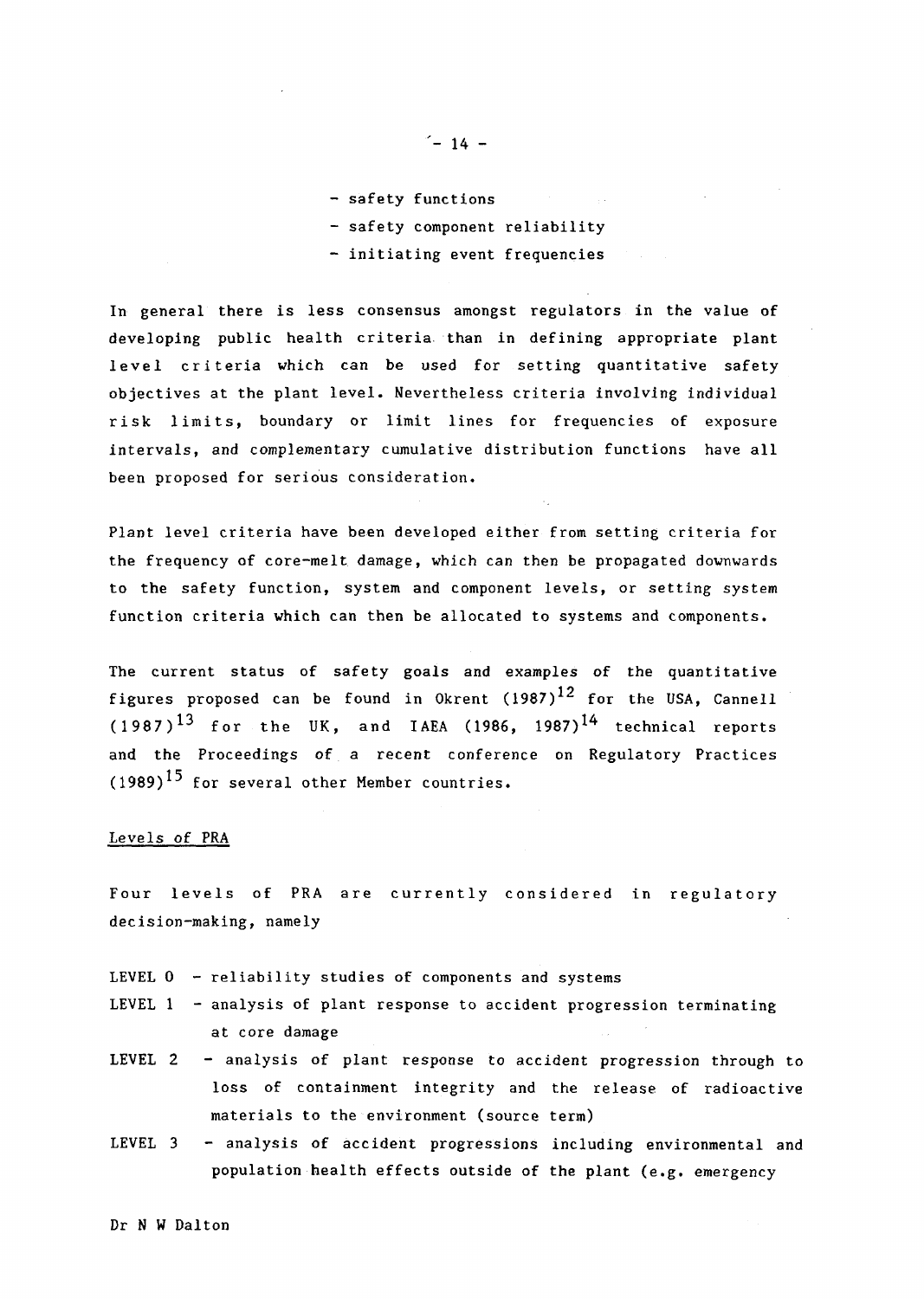- safety functions
- safety component reliability
- initiating event frequencies

In general there is less consensus amongst regulators in the value of developing public health criteria. than in defining appropriate plant level criteria which can be used for setting quantitative safety objectives at the plant level. Nevertheless criteria involving individual risk limits, boundary or limit lines for frequencies of exposure intervals, and complementary cumulative distribution functions have all been proposed for serious consideration.

Plant level criteria have been developed either from setting criteria for the frequency of core-melt damage, which can then be propagated downwards to the safety function, system and component levels, or setting system function criteria which can then be allocated to systems and components.

The current status of safety goals and examples of the quantitative figures proposed can be found in Okrent  $(1987)^{12}$  for the USA, Cannell  $(1987)^{13}$  for the UK, and IAEA (1986, 1987)<sup>14</sup> technical reports and the Proceedings of a recent conference on Regulatory Practices  $(1989)^{15}$  for several other Member countries.

### Levels of PRA

Four levels of PRA are currently considered in regulatory decision-making, namely

- LEVEL  $0$  reliability studies of components and systems
- LEVEL  $1 -$  analysis of plant response to accident progression terminating at core damage
- LEVEL 2 analysis of plant response to accident progression through to loss of containment integrity and the release of radioactive materials to the environment (source term)
- LEVEL 3 analysis of accident progressions including environmental and population health effects outside of the plant (e.g. emergency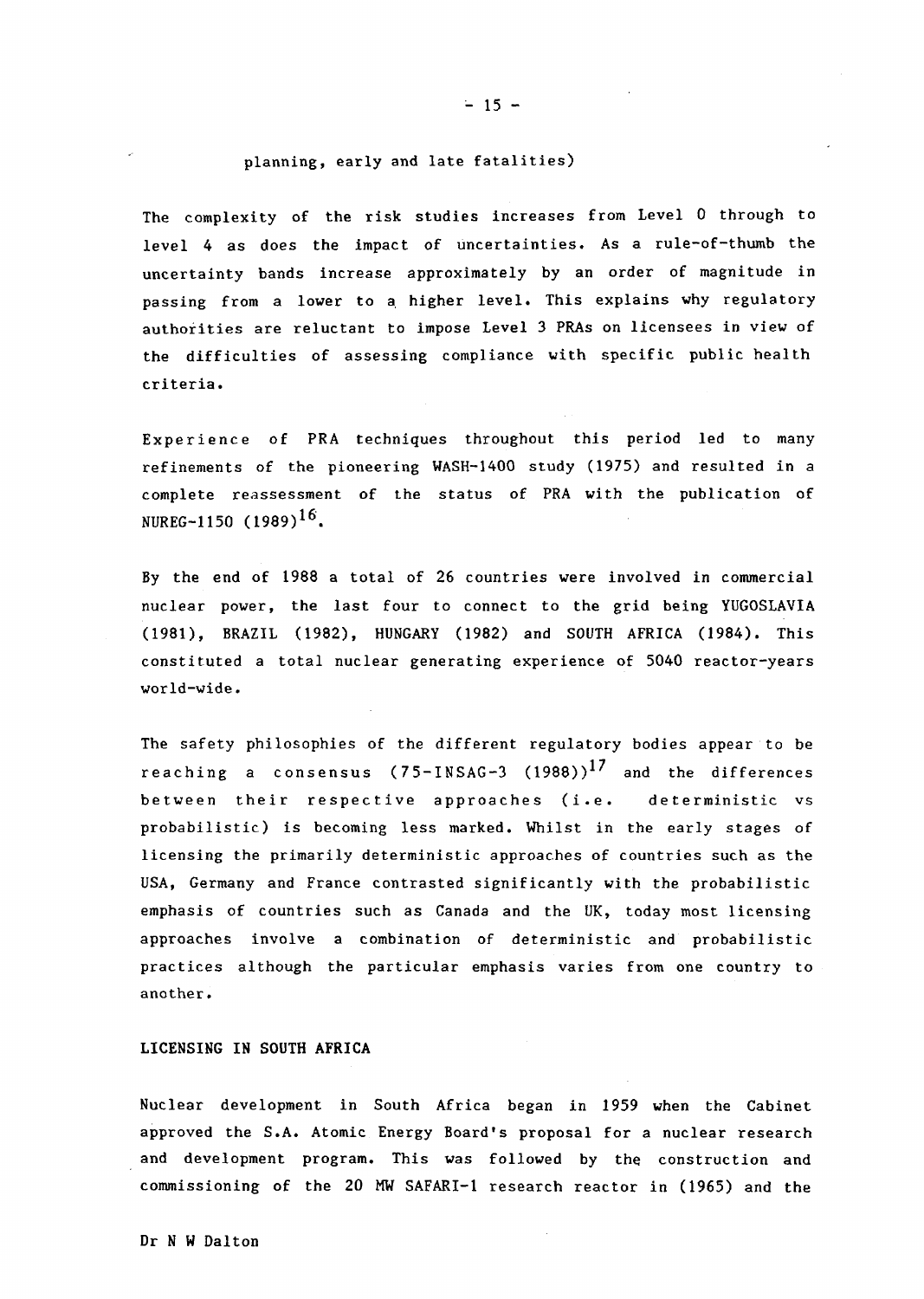### planning, early and late fatalities)

The complexity of the risk studies increases from Level 0 through to level 4 as does the impact of uncertainties. As a rule-of-thumb the uncertainty bands increase approximately by an order of magnitude in passing from a lower to a higher level. This explains why regulatory authorities are reluctant to impose Level 3 PRAs on licensees in view of the difficulties of assessing compliance with specific public health criteria.

Experience of PRA techniques throughout this period led to many refinements of the pioneering WASH-1400 study 1975) and resulted in a complete reassessment of the status of PRA with the publication of NUREG-1150 (1989)<sup>16</sup>.

By the end of 1988 a total of 26 countries were involved in commercial nuclear power, the last four to connect to the grid being YUGOSLAVIA (1981), BRAZIL 1982), HUNGARY 1982) and SOUTH AFRICA 1984). This constituted a total nuclear generating experience of 5040 reactor-years world-wide.

The safety philosophies of the different regulatory bodies appear to be reaching a consensus  $(75-1)$ NSAG-3  $(1988)$ <sup>17</sup> and the differences between their respective approaches (i.e. deterministic vs probabilistic) is becoming less marked. Whilst in the early stages of licensing the primarily deterministic approaches of countries such as the USA, Germany and France contrasted significantly with the probabilistic emphasis of countries such as Canada and the UK, today most licensing approaches involve a combination of deterministic and probabilistic practices although the particular emphasis varies from one country to another.

#### LICENSING IN SOUTH AFRICA

Nuclear development in South Africa began in 1959 when the Cabinet approved the S.A. Atomic Energy Board's proposal for a nuclear research and development program. This was followed by the construction and commissioning of the 20 MW SAFARI-1 research reactor in 1965) and the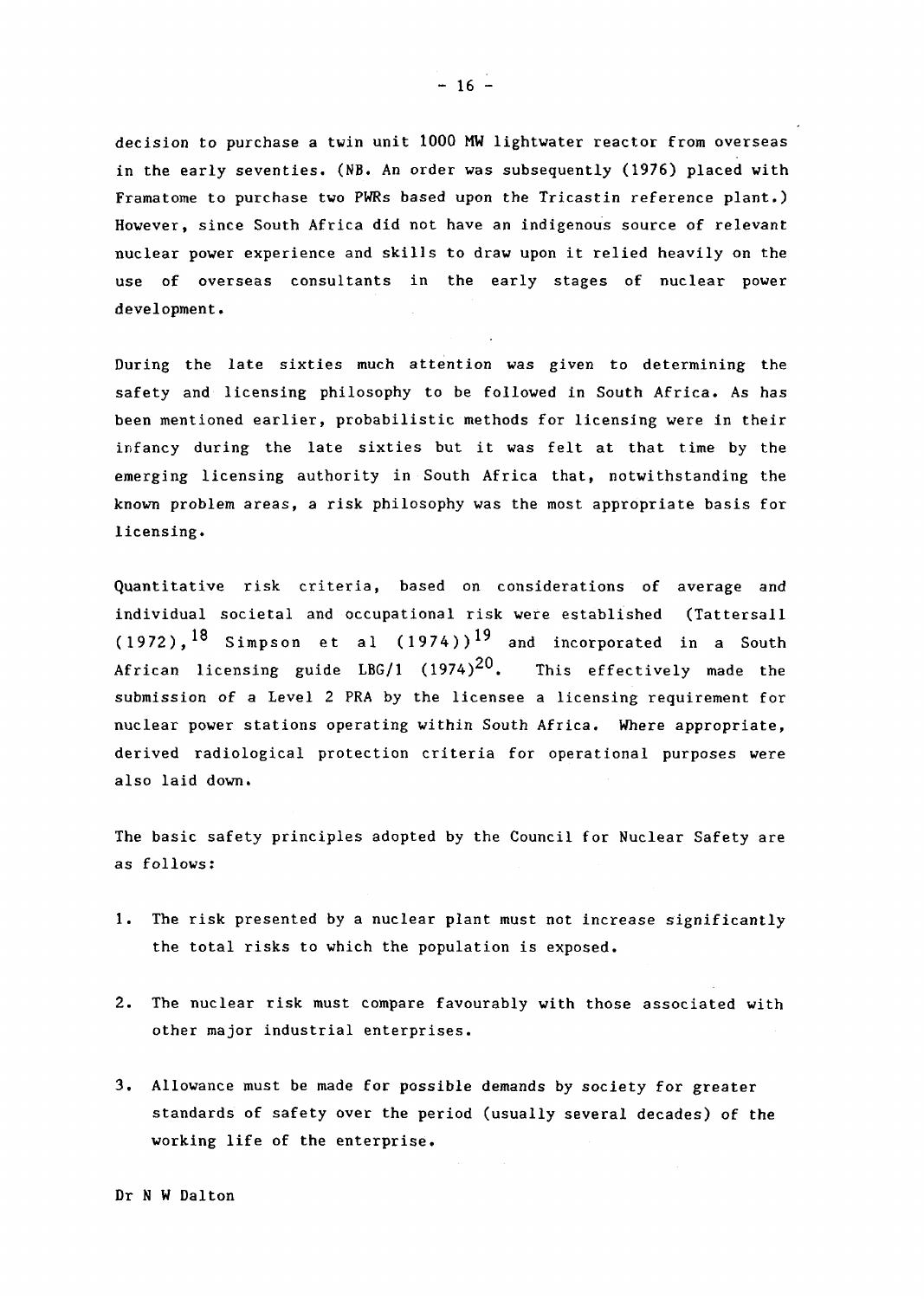decision to purchase a twin unit 1000 MW lightwater reactor from overseas in the early seventies. (NB. An order was subsequently 1976) placed with Framatome to purchase two PWRs based upon the Tricastin reference plant.) However, since South Africa did not have an indigenous source of relevant nuclear power experience and skills to draw upon it relied heavily on the use of overseas consultants in the early stages of nuclear power development.

During the late sixties much attention was given to determining the safety and licensing philosophy to be followed in South Africa. As has been mentioned earlier, probabilistic methods for licensing were in their infancy during the late sixties but it was felt at that time by the emerging licensing authority in South Africa that, notwithstanding the known problem areas, a risk philosophy was the most appropriate basis for licensing.

Quantitative risk criteria, based on considerations of average and individual societal and occupational risk were established (Tattersall  $(1972)$ ,  $^{18}$  Simpson et al  $(1974)$ ) $^{19}$  and incorporated in a South African licensing guide LBG/1  $(1974)^{20}$ . This effectively made the submission of a Level 2 PRA by the licensee a licensing requirement for nuclear power stations operating within South Africa. Where appropriate, derived radiological protection criteria for operational purposes were also laid down.

The basic safety principles adopted by the Council for Nuclear Safety are as follows:

- 1. The risk presented by a nuclear plant must not increase significantly the total risks to which the population is exposed.
- 2. The nuclear risk must compare favourably with those associated with other major industrial enterprises.
- 3. Allowance must be made for possible demands by society for greater standards of safety over the period (usually several decades) of the working life of the enterprise.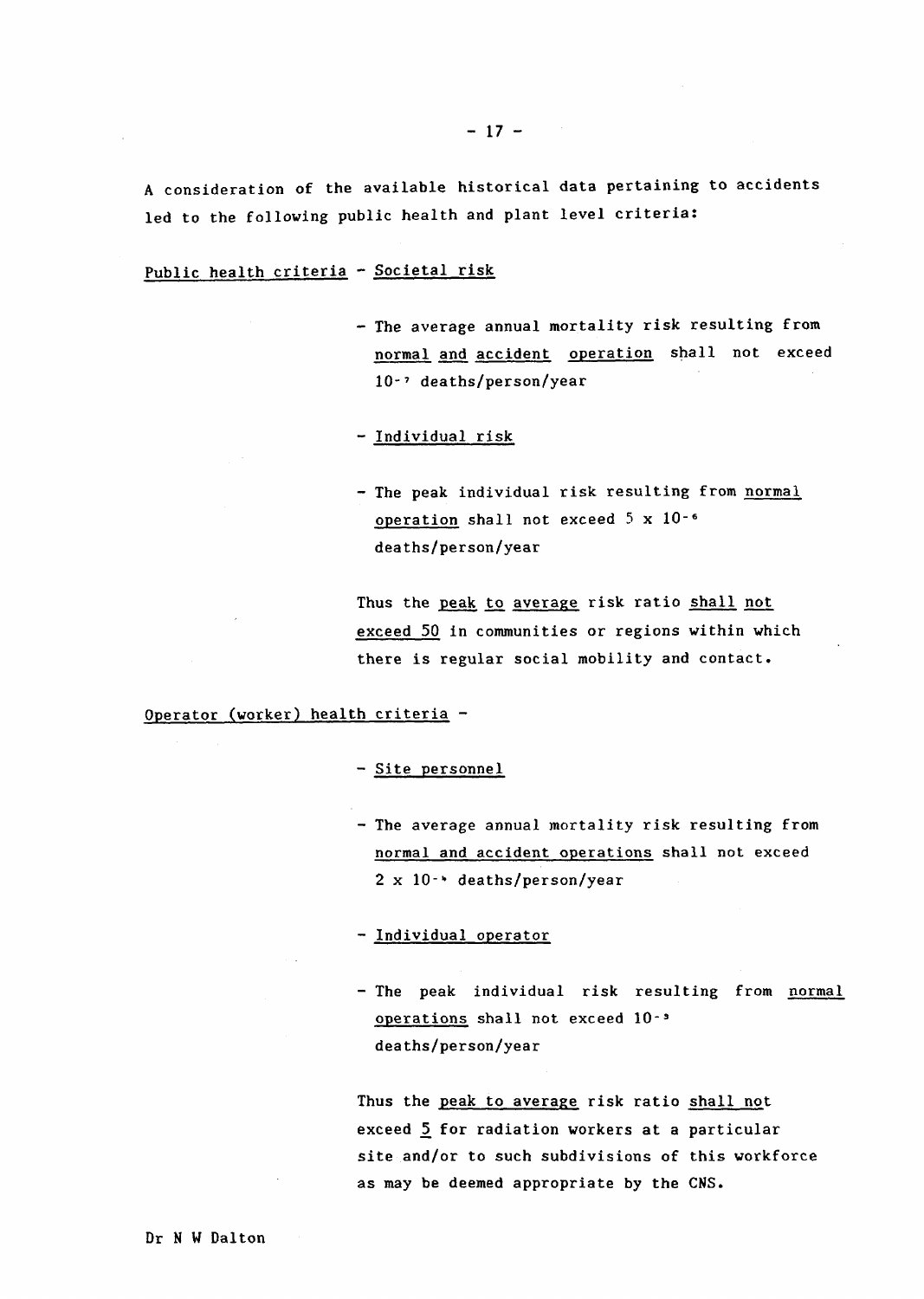A consideration of the available historical data pertaining to accidents led to the following public health and plant level criteria:

# Public health criteria - Societal risk

- The average annual mortality risk resulting from normal and accident operation shall not exceed 10-7 deaths/person/year

### - Individual risk

- The peak individual risk resulting from normal operation shall not exceed 5 x **10-6** deaths/person/year

Thus the peak to average risk ratio shall not exceed 50 in communities or regions within which there is regular social mobility and contact.

Operator (worker) health criteria -

### - Site personnel

- The average annual mortality risk resulting from normal and accident operations shall not exceed 2 x 10<sup>-+</sup> deaths/person/year

### - ndividual operator

- The peak individual risk resulting from normal operations shall not exceed 10 deaths/person/year

Thus the peak to average risk ratio shall not exceed  $5$  for radiation workers at a particular site and/or to such subdivisions of this workforce as may be deemed appropriate by the CNS.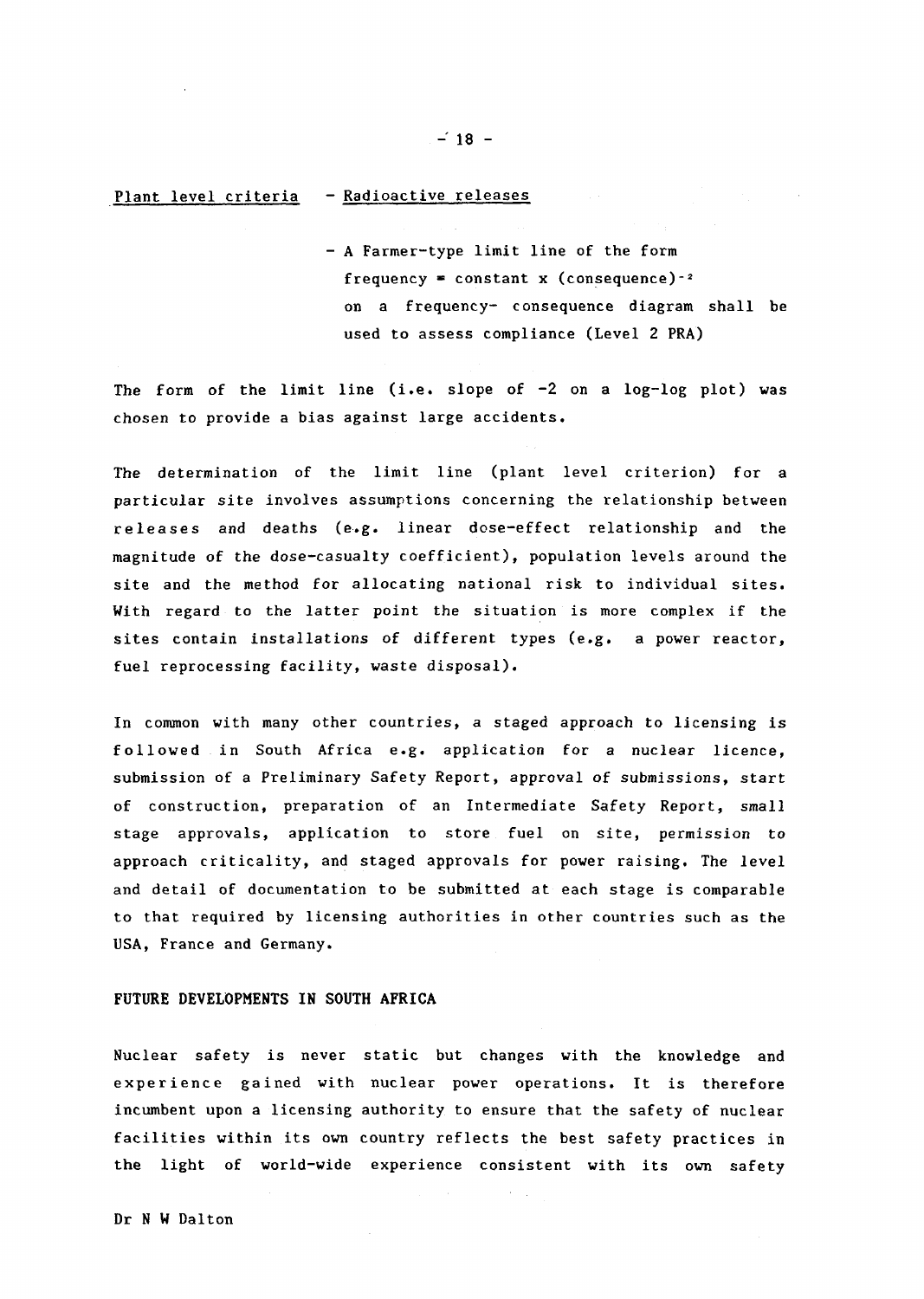# Plant level criteria - Radioactive releases

- A Farmer-type limit line of the form frequency = constant x (consequence)-2 on a frequency- consequence diagram shall be used to assess compliance (Level 2 PRA)

The form of the limit line (i.e. slope of  $-2$  on a log-log plot) was chosen to provide a bias against large accidents.

The determination of the limit line (plant level criterion) for a particular site involves assumptions concerning the relationship between releases and deaths (e.g. linear dose-effect relationship and the magnitude of the dose-casualty coefficient), population levels around the site and the method for allocating national risk to individual sites. With regard to the latter point the situation is more complex if the sites contain installations of different types (e.g. a power reactor, fuel reprocessing facility, waste disposal).

In common with many other countries, a staged approach to licensing is followed in South Africa e.g. application for a nuclear licence, submission of a Preliminary Safety Report, approval of submissions, start of construction, preparation of an Intermediate Safety Report, small stage approvals, application to store fuel on site, permission to approach criticality, and staged approvals for power raising. The level and detail of documentation to be submitted at each stage is comparable to that required by licensing authorities in other countries such as the USA, France and Germany.

### FUTURE DEVELOPMENTS IN SOUTH **AFRICA**

Nuclear safety is never static but changes with the knowledge and experience gained with nuclear power operations. It is therefore incumbent upon a licensing authority to ensure that the safety of nuclear facilities within its own country reflects the best safety practices in the light of world-wide experience consistent with its own safety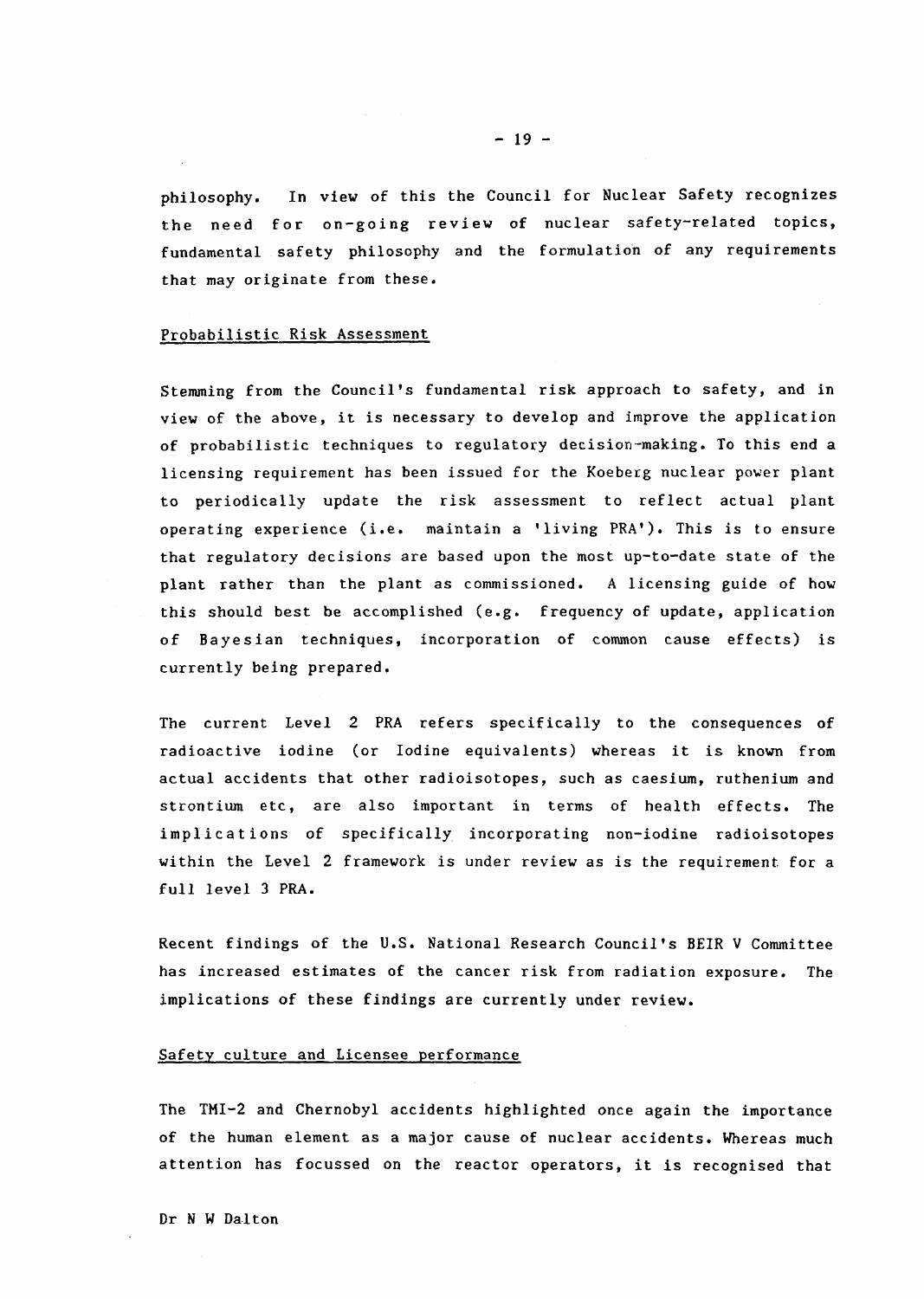philosophy. In view of this the Council for Nuclear Safety recognizes the need for on-going review of nuclear safety-related topics, fundamental safety philosophy and the formulation of any requirements that may originate from these.

#### Probabilistic Risk Assessment

Stemming from the Council's fundamental risk approach to safety, and in view of the above, it is necessary to develop and improve the application of probabilistic techniques to regulatory decision-making. To this end a licensing requirement has been issued for the Koeberg nuclear power plant to periodically update the risk assessment to reflect actual plant operating experience (i.e. maintain a 'living PRA'). This is to ensure that regulatory decisions are based upon the most up-to-date state of the plant rather than the plant as commissioned. A licensing guide of how this should best be accomplished (e.g. frequency of update, application of Bayesian techniques, incorporation of common cause effects) is currently being prepared.

The current Level 2 PRA refers specifically to the consequences of radioactive iodine (or Iodine equivalents) whereas it is known from actual accidents that other radioisotopes, such as caesium, ruthenium and strontium etc, are also important in terms of health effects. The implications of specifically incorporating non-iodine radioisotopes within the Level 2 framework is under review as is the requirement for a full level 3 PRA.

Recent findings of the U.S. National Research Council's BEIR V Committee has increased estimates of the cancer risk from radiation exposure. The implications of these findings are currently under review.

### Safety culture and Licensee performance

The TMI-2 and Chernobyl accidents highlighted once again the importance of the human element as a major cause of nuclear accidents. Whereas much attention has focussed on the reactor operators, it is recognised that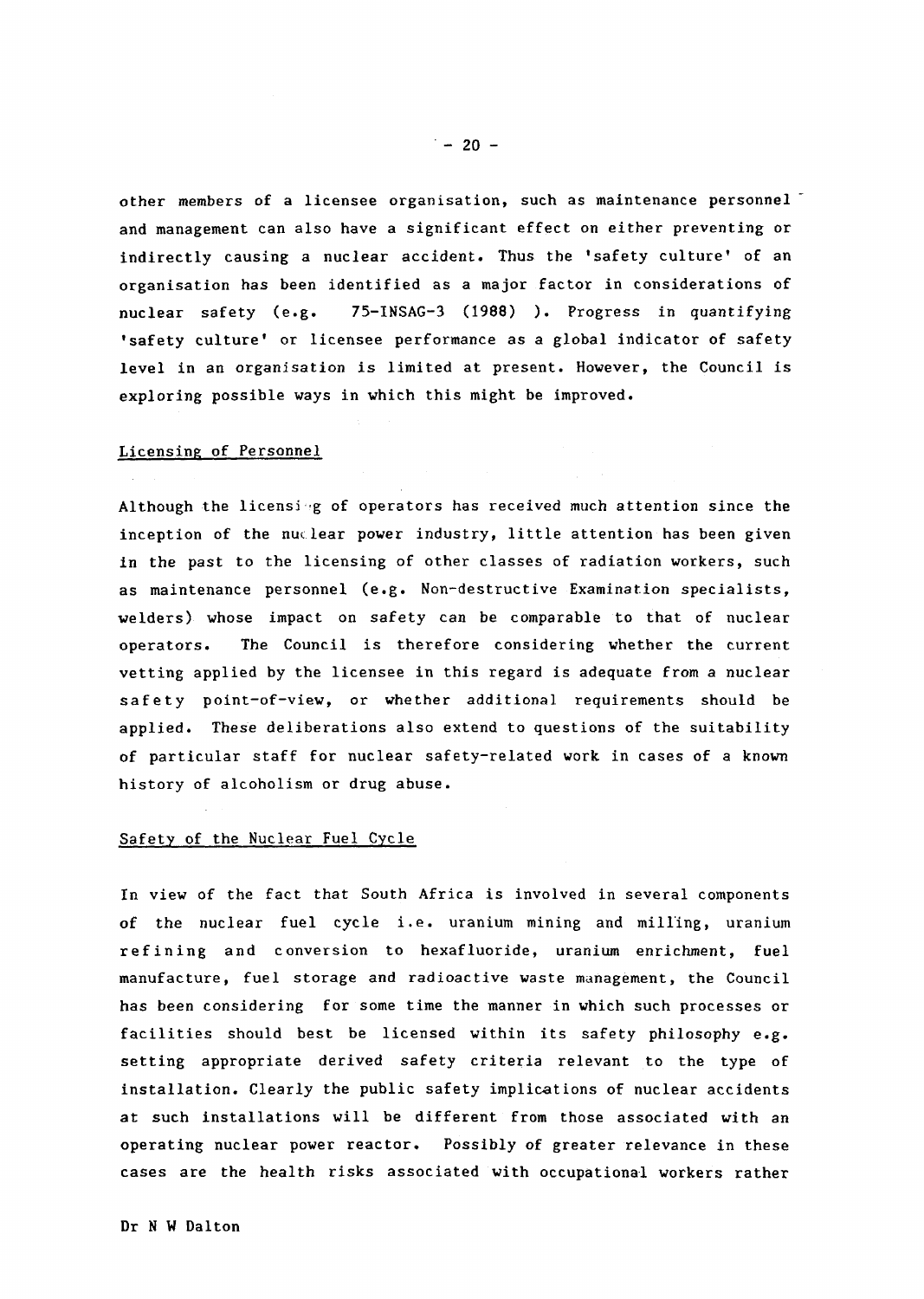other members of a licensee organisation, such as maintenance personnel and management can also have a significant effect on either preventing or indirectly causing a nuclear accident. Thus the 'safety culture' of an Organisation has been identified as a major factor in considerations of nuclear safety (e.g. 75-INSAG-3 1988) ). Progress in quantifying 'safety culture' or licensee performance as a global indicator of safety level in an organisation is limited at present. However, the Council is exploring possible ways in which this might be improved.

### Licensing of Personnel

Although the licensing of operators has received much attention since the inception of the nuclear power industry, little attention has been given in the past to the licensing of other classes of radiation workers, such as maintenance personnel (e.g. Non-destructive Examination specialists, welders) whose impact on safety can be comparable to that of nuclear operators. The Council is therefore considering whether the current vetting applied by the licensee in this regard is adequate from a nuclear safety point-of-view, or whether additional requirements should be applied. These deliberations also extend to questions of the suitability of particular staff for nuclear safety-related work in cases of a known history of alcoholism or drug abuse.

### Safety of the Nuclear Fuel Cycle

In view of the fact that South Africa is involved in several components of the nuclear fuel cycle i.e. uranium mining and milling, uranium ref ining and conversion to hexafluoride, uranium enrichment, fuel manufacture, fuel storage and radioactive waste management, the Council has been considering for some time the manner in which such processes or facilities should best be licensed within its safety philosophy e.g. setting appropriate derived safety criteria relevant to the type of installation. Clearly the public safety implications of nuclear accidents at such installations will be different from those associated with an operating nuclear power reactor. Possibly of greater relevance in these cases are the health risks associated with occupational workers rather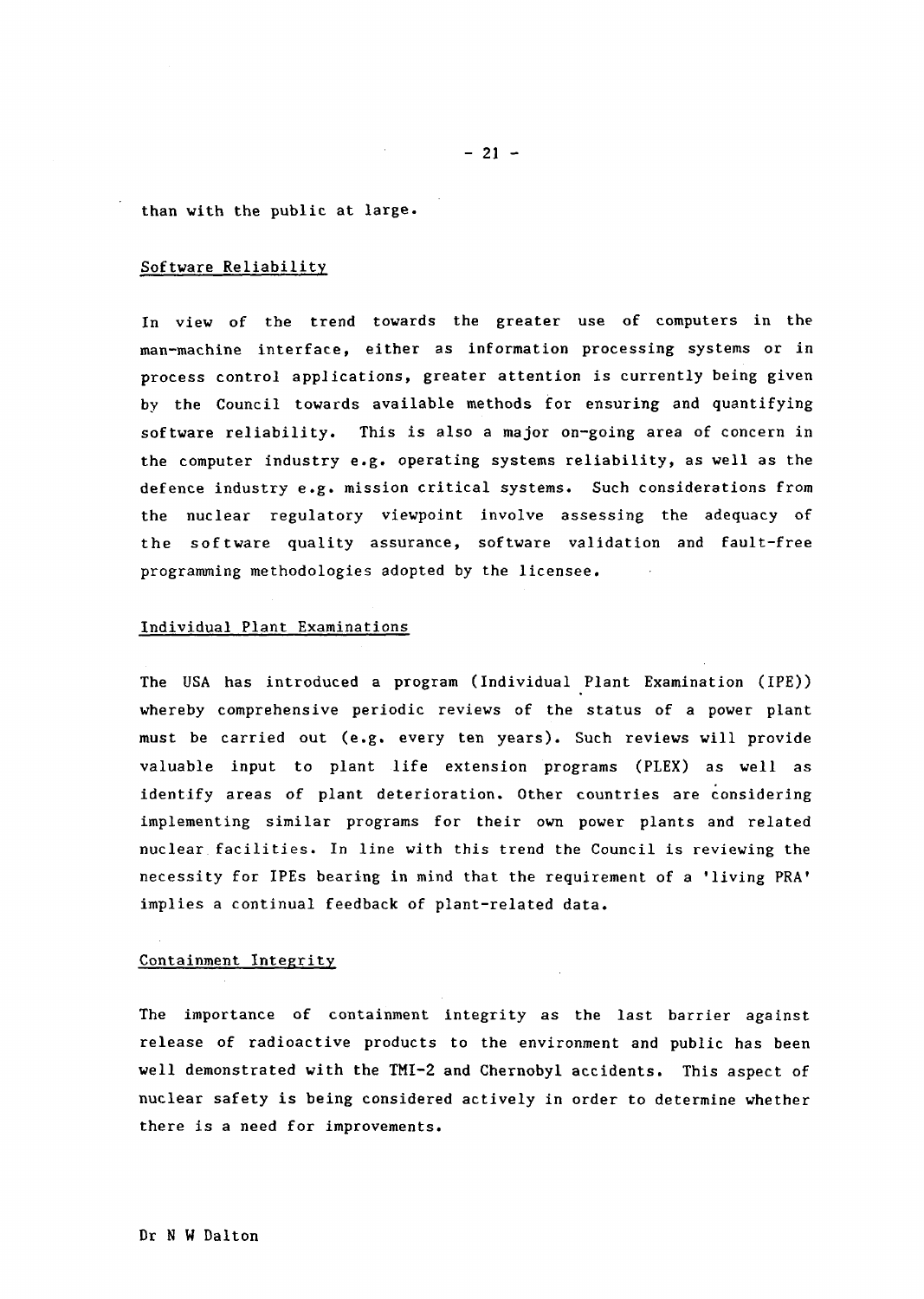$-21 -$ 

than with the public at large.

## Software Reliability

In view of the trend towards the greater use of computers in the man-machine interface, either as information processing systems or in process control applications, greater attention is currently being given by the Council towards available methods for ensuring and quantifying software reliability. This is also a major on-going area of concern in the computer industry e.g. operating systems reliability, as well as the defence industry e.g. mission critical systems. Such considerations from the nuclear regulatory viewpoint involve assessing the adequacy of the software quality assurance, software validation and fault-free programming methodologies adopted by the licensee.

### Individual Plant Examinations

The USA has introduced a program (Individual Plant Examination (IPE)) whereby comprehensive periodic reviews of the status of a power plant must be carried out (e.g. every ten years). Such reviews will provide valuable input to plant life extension programs (PLEX) as well as identify areas of plant deterioration. Other countries are considering implementing similar programs for their own power plants and related nuclear. facilities. In line with this trend the Council is reviewing the necessity for IPEs bearing in mind that the requirement of a 'living PRA' implies a continual feedback of plant-related data.

#### Containment Integrity

The importance of containment integrity as the last barrier against release of radioactive products to the environment and public has been well demonstrated with the TMI-2 and Chernobyl accidents. This aspect of nuclear safety is being considered actively in order to determine whether there is a need for improvements.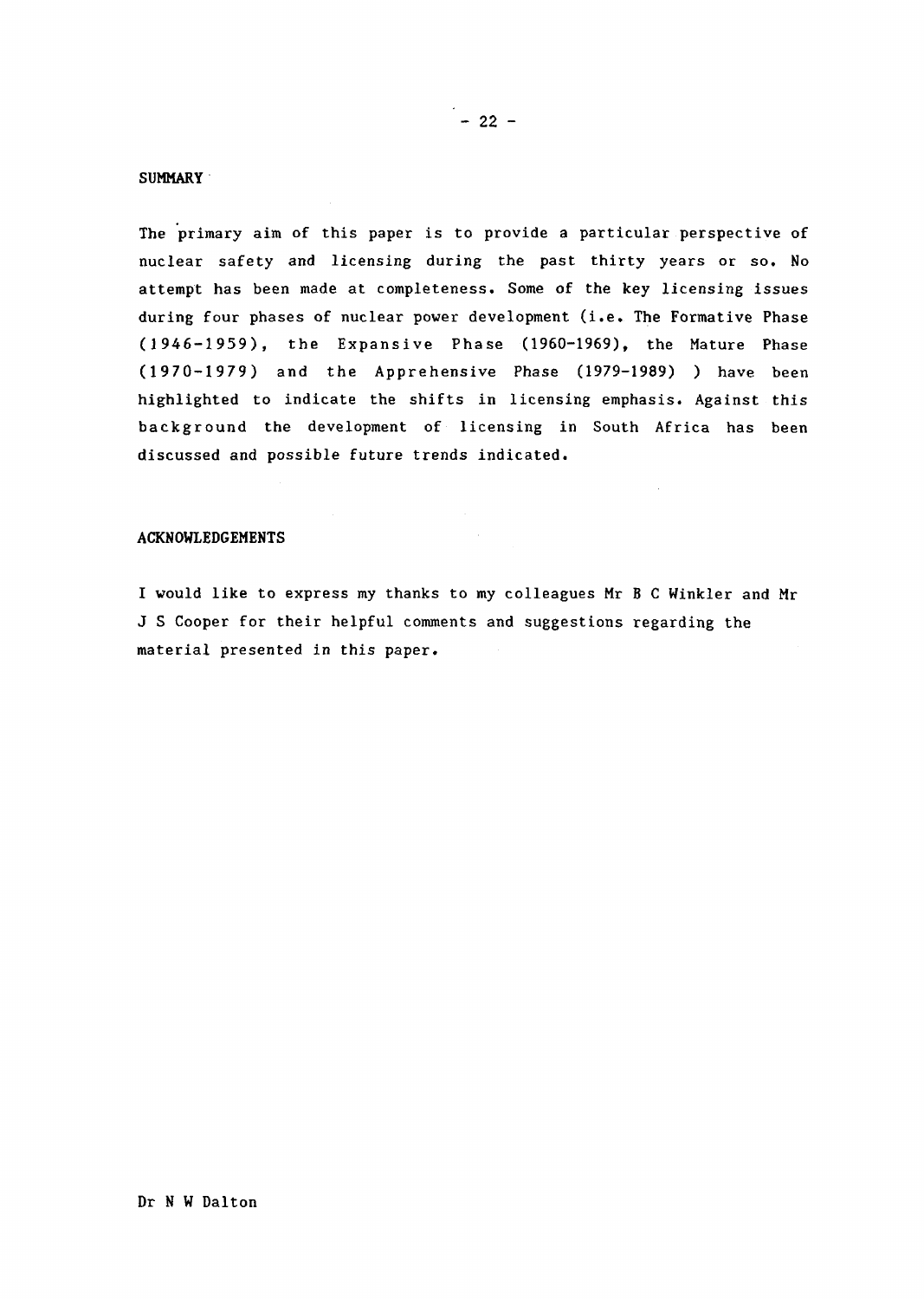### SUMMARY'

The primary aim of this paper is to provide a particular perspective of nuclear safety and licensing during the past thirty years or so. No attempt has been made at completeness. Some of the key licensing issues during four phases of nuclear power development (i.e. The Formative Phase (1946-1959), the Expansive Phase 1960-1969), the Mature Phase (1970-1979) and the Apprehensive Phase (1979-1989) ) have been highlighted to indicate the shifts in licensing emphasis. Against this background the development of licensing in South Africa has been discussed and possible future trends indicated.

### ACKNOWLEDGEMENTS

I would like to express my thanks to my colleagues Mr B C Winkler and Mr J Cooper for their helpful comments and suggestions regarding the material presented in this paper.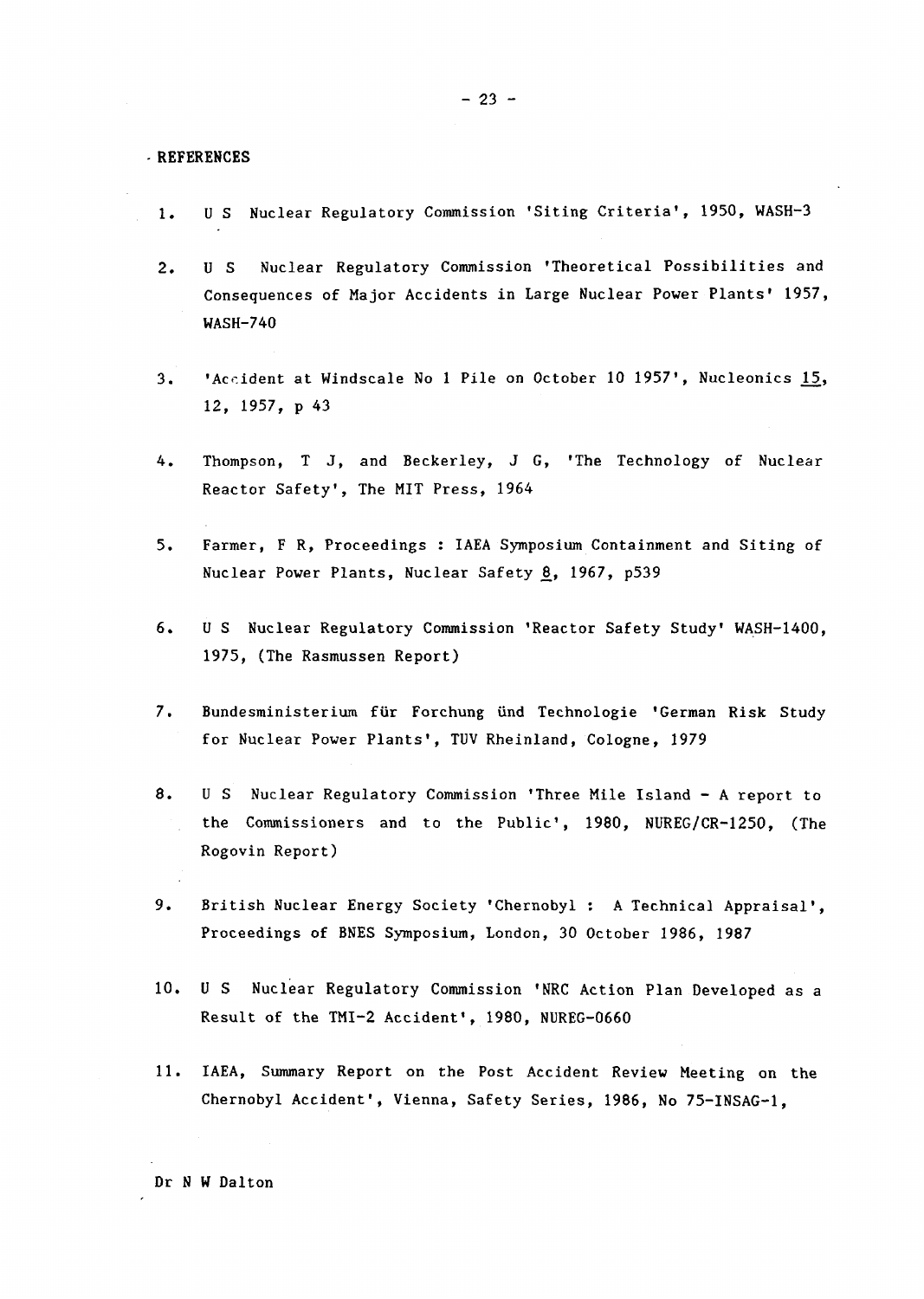.REFERENCES

- 1. U S Nuclear Regulatory Commission 'Siting Criteria', 1950, WASH-3
- 2. U S Nuclear Regulatory Commission 'Theoretical Possibilities and Consequences of Major Accidents in Large Nuclear Power Plants' 1957, WASH-740
- 3. 'Accident at Windscale No I Pile on October 10 19571, Nucleonics 15, 12, 1957, p 43
- 4. Thompson, T J, and Beckerley, J G, 'The Technology of Nuclear Reactor Safety', The MIT Press, 1964
- 5. Farmer, F R, Proceedings : IAEA Symposium Containment and Siting of Nuclear Power Plants, Nuclear Safety 8, 1967, p539
- 6. U S Nuclear Regulatory Commission 'Reactor Safety Study' WASH-1400, 1975, (The Rasmussen Report)
- 7. Bundesministerium für Forchung ünd Technologie 'German Risk Study for Nuclear Power Plants', TUV Rheinland, Cologne, 1979
- 8. U S Nuclear Regulatory Commission 'Three Mile Island A report to the Commissioners and to the Public', 1980, NUREG/CR-1250, (The Rogovin Report)
- 9. British Nuclear Energy Society 'Chernobyl : A Technical Appraisal', Proceedings of BNES Symposium, London, 30 October 1986, 1987
- 10. U S Nuclear Regulatory Commission NRC Action Plan Developed as a Result of the TMI-2 Accident', 1980, NUREG-0660
- 11. IAEA, Summary Report on the Post Accident Review Meeting on the Chernobyl Accident', Vienna, Safety Series, 1986, No 75-INSAG-1,